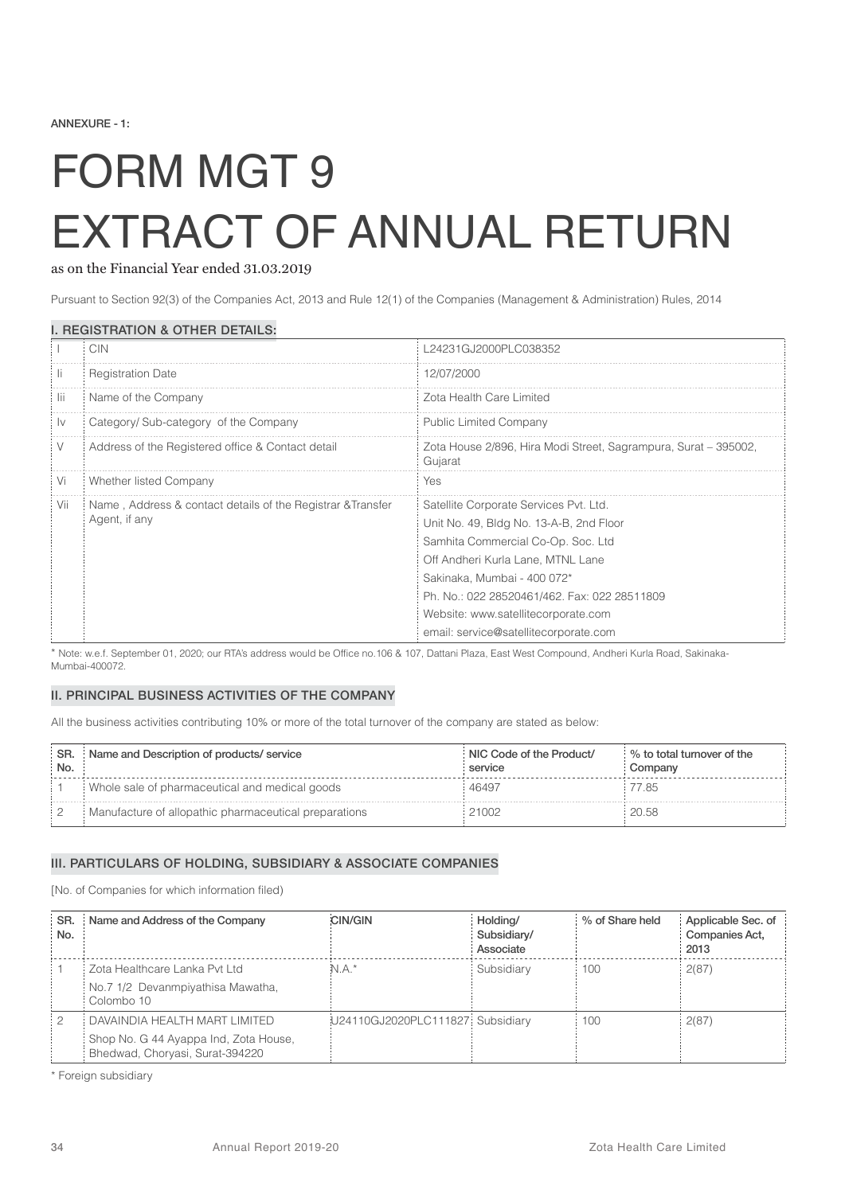# FORM MGT 9 EXTRACT OF ANNUAL RETURN

#### as on the Financial Year ended 31.03.2019

Pursuant to Section 92(3) of the Companies Act, 2013 and Rule 12(1) of the Companies (Management & Administration) Rules, 2014

|      | <b>CIN</b>                                                                   | L24231GJ2000PLC038352                                                                                                                                                                                                                                                                                                       |
|------|------------------------------------------------------------------------------|-----------------------------------------------------------------------------------------------------------------------------------------------------------------------------------------------------------------------------------------------------------------------------------------------------------------------------|
| IL.  | <b>Registration Date</b>                                                     | 12/07/2000                                                                                                                                                                                                                                                                                                                  |
| -lii | Name of the Company                                                          | Zota Health Care Limited                                                                                                                                                                                                                                                                                                    |
| 1v   | Category/ Sub-category of the Company                                        | <b>Public Limited Company</b>                                                                                                                                                                                                                                                                                               |
| V    | Address of the Registered office & Contact detail                            | Zota House 2/896, Hira Modi Street, Sagrampura, Surat – 395002,<br>Gujarat                                                                                                                                                                                                                                                  |
| Vi   | Whether listed Company                                                       | Yes                                                                                                                                                                                                                                                                                                                         |
| Vii  | Name, Address & contact details of the Registrar & Transfer<br>Agent, if any | Satellite Corporate Services Pvt. Ltd.<br>Unit No. 49, Bldg No. 13-A-B, 2nd Floor<br>Samhita Commercial Co-Op. Soc. Ltd<br>Off Andheri Kurla Lane, MTNL Lane<br>Sakinaka, Mumbai - 400 072*<br>Ph. No.: 022 28520461/462. Fax: 022 28511809<br>Website: www.satellitecorporate.com<br>email: service@satellitecorporate.com |

#### I. REGISTRATION & OTHER DETAILS:

\* Note: w.e.f. September 01, 2020; our RTA's address would be Office no.106 & 107, Dattani Plaza, East West Compound, Andheri Kurla Road, Sakinaka-Mumbai-400072.

#### II. PRINCIPAL BUSINESS ACTIVITIES OF THE COMPANY

All the business activities contributing 10% or more of the total turnover of the company are stated as below:

| SR.<br>No. | Name and Description of products/ service             | NIC Code of the Product/<br>service | % to total turnover of the<br>Company |
|------------|-------------------------------------------------------|-------------------------------------|---------------------------------------|
|            | Whole sale of pharmaceutical and medical goods        | 46497                               | 7.85                                  |
|            | Manufacture of allopathic pharmaceutical preparations | 21002                               | 20.58                                 |

#### III. PARTICULARS OF HOLDING, SUBSIDIARY & ASSOCIATE COMPANIES

[No. of Companies for which information filed)

| SR.<br>No. | Name and Address of the Company                                                                           | <b>CIN/GIN</b>                   | Holding/<br>Subsidiary/<br>Associate | % of Share held | Applicable Sec. of<br>Companies Act,<br>2013 |
|------------|-----------------------------------------------------------------------------------------------------------|----------------------------------|--------------------------------------|-----------------|----------------------------------------------|
|            | Zota Healthcare Lanka Pvt Ltd<br>No.7 1/2 Devanmpiyathisa Mawatha,<br>Colombo 10                          | n.a.*                            | Subsidiary                           | 100             | 2(87)                                        |
| 12         | DAVAINDIA HEALTH MART LIMITED<br>Shop No. G 44 Ayappa Ind, Zota House,<br>Bhedwad, Choryasi, Surat-394220 | U24110GJ2020PLC111827 Subsidiary |                                      | 100             | 2(87)                                        |

\* Foreign subsidiary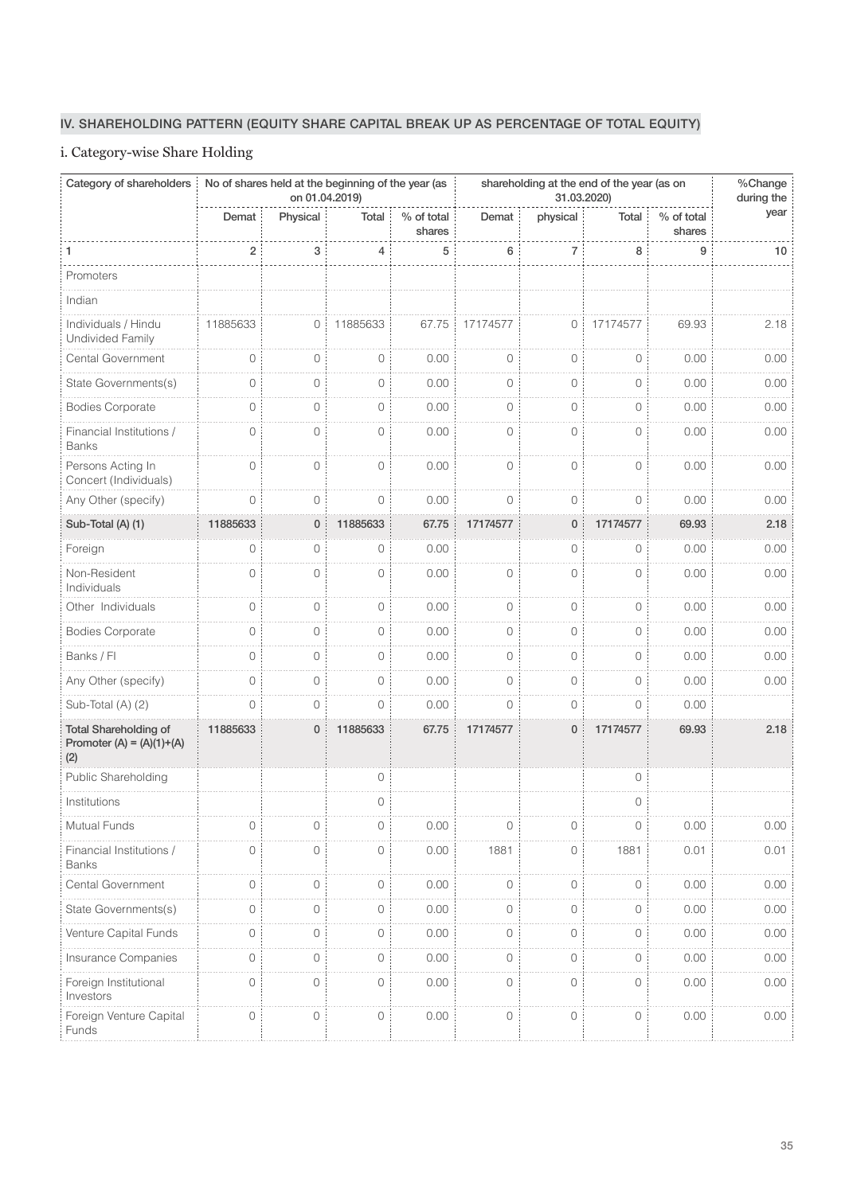# IV. SHAREHOLDING PATTERN (EQUITY SHARE CAPITAL BREAK UP AS PERCENTAGE OF TOTAL EQUITY)

# i. Category-wise Share Holding

| Category of shareholders                                           |                | on 01.04.2019) | No of shares held at the beginning of the year (as |                      | shareholding at the end of the year (as on | %Change<br>during the |                     |                      |      |
|--------------------------------------------------------------------|----------------|----------------|----------------------------------------------------|----------------------|--------------------------------------------|-----------------------|---------------------|----------------------|------|
|                                                                    | Demat          | Physical       | Total                                              | % of total<br>shares | Demat                                      | physical              | Total               | % of total<br>shares | year |
| 1                                                                  | $\overline{2}$ | 3              | 4                                                  | 5                    | 6                                          | 7                     | 8                   | 9                    | 10   |
| Promoters                                                          |                |                |                                                    |                      |                                            |                       |                     |                      |      |
| Indian                                                             |                |                |                                                    |                      |                                            |                       |                     |                      |      |
| Individuals / Hindu<br><b>Undivided Family</b>                     | 11885633       | 0              | 11885633                                           | 67.75                | 17174577                                   | 0                     | 17174577            | 69.93                | 2.18 |
| Cental Government                                                  | $\circ$        | 0              | 0                                                  | 0.00                 | $\circ$                                    | $\circ$               | $\circ$             | 0.00                 | 0.00 |
| State Governments(s)                                               | $\Omega$       | 0              | $\circ$                                            | 0.00                 | $\circ$                                    | $\mathbf{0}$          | $\bigcap$           | 0.00                 | 0.00 |
| <b>Bodies Corporate</b>                                            | $\circ$        | 0              | 0                                                  | 0.00                 | 0                                          | 0                     | $\circ$             | 0.00                 | 0.00 |
| Financial Institutions /<br><b>Banks</b>                           | $\overline{0}$ | 0              | $\overline{O}$                                     | 0.00                 | $\circ$                                    | $\circ$               | $\circ$             | 0.00                 | 0.00 |
| Persons Acting In<br>Concert (Individuals)                         | $\overline{0}$ | 0              | $\overline{O}$                                     | 0.00                 | $\overline{O}$                             | $\circ$               | $\circ$             | 0.00                 | 0.00 |
| Any Other (specify)                                                | $\overline{0}$ | 0              | $\overline{0}$                                     | 0.00                 | $\circ$                                    | $\circ$               | $\bigcirc$          | 0.00                 | 0.00 |
| Sub-Total (A) (1)                                                  | 11885633       | 0              | 11885633                                           | 67.75                | 17174577                                   | $\mathbf 0$           | 17174577            | 69.93                | 2.18 |
| Foreign                                                            | $\mathbf 0$    | 0              | $\mathbf 0$                                        | 0.00                 |                                            | $\circ$               | $\overline{0}$      | 0.00                 | 0.00 |
| Non-Resident<br>Individuals                                        | $\overline{0}$ | $\circ$        | 0                                                  | 0.00                 | $\overline{O}$                             | $\circ$               | $\circ$             | 0.00                 | 0.00 |
| Other Individuals                                                  | $\circ$        | 0              | 0                                                  | 0.00                 | $\circ$                                    | $\circ$               | $\overline{0}$      | 0.00                 | 0.00 |
| <b>Bodies Corporate</b>                                            | $\overline{0}$ | 0              | $\circ$                                            | 0.00                 | $\circ$                                    | $\circ$               | $\circ$             | 0.00                 | 0.00 |
| Banks / Fl                                                         | $\overline{0}$ | 0              | $\circ$                                            | 0.00                 | $\circ$                                    | 0                     | $\circ$             | 0.00                 | 0.00 |
| Any Other (specify)                                                | 0              | 0              | 0                                                  | 0.00                 | $\circ$                                    | 0                     | $\circ$             | 0.00                 | 0.00 |
| Sub-Total (A) (2)                                                  | $\bigcap$      | 0              | $\circ$                                            | 0.00                 | $\circ$                                    | 0                     | $\bigcirc$          | 0.00                 |      |
| <b>Total Shareholding of</b><br>Promoter $(A) = (A)(1)+(A)$<br>(2) | 11885633       | 0              | 11885633                                           | 67.75                | 17174577                                   | $\mathbf 0$           | 17174577            | 69.93                | 2.18 |
| Public Shareholding                                                |                |                | 0                                                  |                      |                                            |                       | $\circ$             |                      |      |
| Institutions                                                       |                |                | 0                                                  |                      |                                            |                       | 0                   |                      |      |
| Mutual Funds                                                       | $\circ$        | $\circ$        | $\circ$                                            | 0.00                 | $\circ$                                    | $\circ$               | 0                   | 0.00                 | 0.00 |
| Financial Institutions /<br><b>Banks</b>                           | $\circ$        | 0              | $\mathbf 0$                                        | 0.00                 | 1881                                       | $\mathsf O$           | 1881                | 0.01                 | 0.01 |
| Cental Government                                                  | $\circ$        | 0              | $\circ$                                            | 0.00                 | $\mathbf 0$                                | $\circ$               | $\circ$             | 0.00                 | 0.00 |
| State Governments(s)                                               | $\mathbf 0$    | $\mathsf{O}$   | $\circlearrowright$                                | 0.00                 | $\circlearrowright$                        | $\circlearrowright$   | $\circ$             | 0.00                 | 0.00 |
| Venture Capital Funds                                              | $\mathbf{0}$   | 0              | $\circ$                                            | 0.00                 | $\mathbf 0$                                | $\mathsf{O}$          | $\circ$             | 0.00                 | 0.00 |
| Insurance Companies                                                | $\mathbf 0$    | 0              | $\circ$                                            | 0.00                 | $\mathbf 0$                                | $\mathsf O$           | 0                   | 0.00                 | 0.00 |
| Foreign Institutional<br>Investors                                 | $\mathbf{0}$   | 0              | $\circlearrowright$                                | 0.00                 | $\mathbf 0$                                | $\mathsf O$           | $\circ$             | 0.00                 | 0.00 |
| Foreign Venture Capital<br>Funds                                   | $\mathbf 0$    | 0              | $\circlearrowright$                                | 0.00                 | $\circ$                                    | $\circlearrowright$   | $\circlearrowright$ | 0.00                 | 0.00 |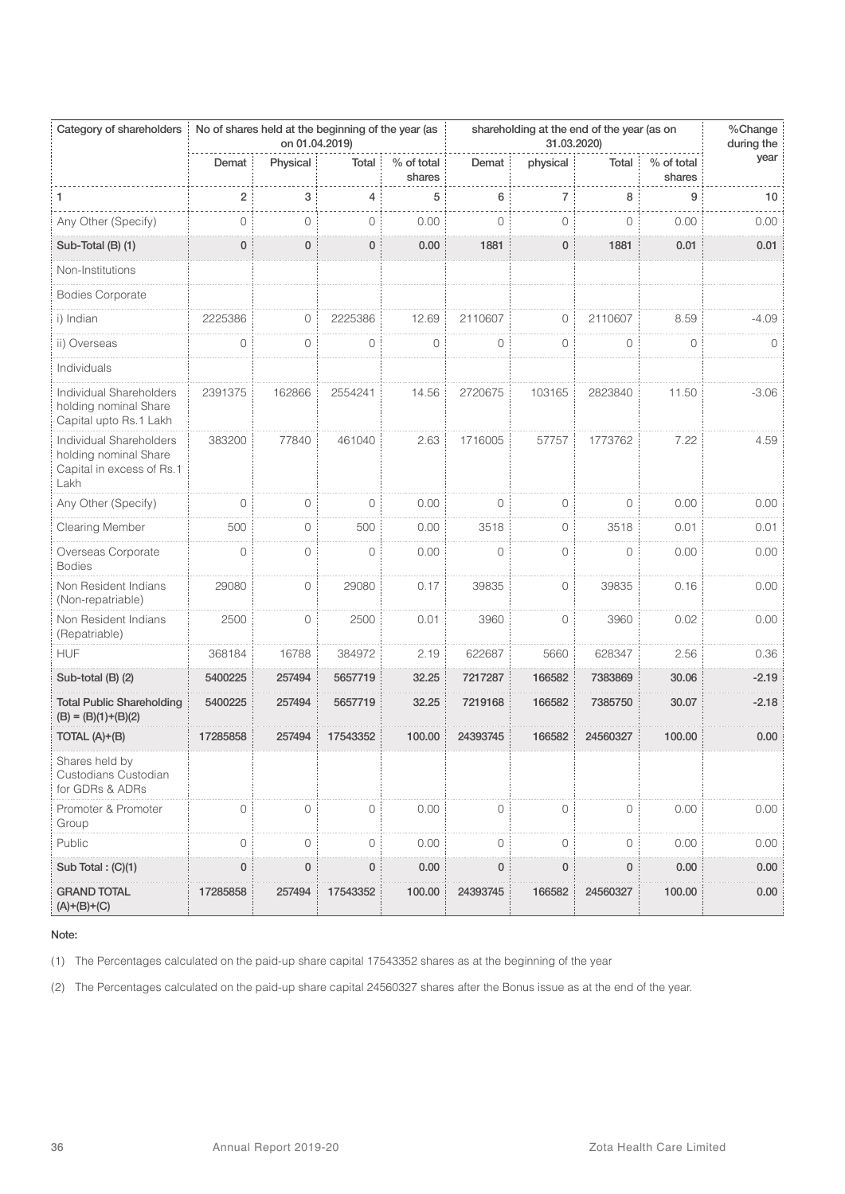| Category of shareholders                                                              |                | on 01.04.2019) | No of shares held at the beginning of the year (as |                      | shareholding at the end of the year (as on<br>31.03.2020) |           |                |                      | %Change<br>during the |
|---------------------------------------------------------------------------------------|----------------|----------------|----------------------------------------------------|----------------------|-----------------------------------------------------------|-----------|----------------|----------------------|-----------------------|
|                                                                                       | Demat          | Physical       | Total                                              | % of total<br>shares | Demat                                                     | physical  | Total          | % of total<br>shares | year                  |
| 1                                                                                     | $\overline{2}$ | 3              | 4                                                  | 5                    | 6                                                         | 7         | 8              | 9                    | 10                    |
| Any Other (Specify)                                                                   | $\circ$        | 0              | 0                                                  | 0.00                 | $\circ$                                                   | $\circ$   | 0              | 0.00                 | 0.00                  |
| Sub-Total (B) (1)                                                                     | 0              | 0              | 0                                                  | 0.00                 | 1881                                                      | 0         | 1881           | 0.01                 | 0.01                  |
| Non-Institutions                                                                      |                |                |                                                    |                      |                                                           |           |                |                      |                       |
| <b>Bodies Corporate</b>                                                               |                |                |                                                    |                      |                                                           |           |                |                      |                       |
| i) Indian                                                                             | 2225386        | 0              | 2225386                                            | 12.69                | 2110607                                                   | $\circ$   | 2110607        | 8.59                 | $-4.09$               |
| ii) Overseas                                                                          | 0              | 0              | 0                                                  | $\circ$              | $\circ$                                                   | $\circ$   | 0              | $\mathbf 0$          | 0                     |
| Individuals                                                                           |                |                |                                                    |                      |                                                           |           |                |                      |                       |
| Individual Shareholders<br>holding nominal Share<br>Capital upto Rs.1 Lakh            | 2391375        | 162866         | 2554241                                            | 14.56                | 2720675                                                   | 103165    | 2823840        | 11.50                | $-3.06$               |
| Individual Shareholders<br>holding nominal Share<br>Capital in excess of Rs.1<br>Lakh | 383200         | 77840          | 461040                                             | 2.63                 | 1716005                                                   | 57757     | 1773762        | 7.22                 | 4.59                  |
| Any Other (Specify)                                                                   | 0              | $\circ$        | $\circ$                                            | 0.00                 | 0                                                         | 0         | $\circ$        | 0.00                 | 0.00                  |
| <b>Clearing Member</b>                                                                | 500            | 0              | 500                                                | 0.00                 | 3518                                                      | 0         | 3518           | 0.01                 | 0.01                  |
| Overseas Corporate<br><b>Bodies</b>                                                   | $\overline{O}$ | 0              | $\circ$                                            | 0.00                 | $\circ$                                                   | 0         | $\overline{0}$ | 0.00                 | 0.00                  |
| Non Resident Indians<br>(Non-repatriable)                                             | 29080          | 0              | 29080                                              | 0.17                 | 39835                                                     | 0         | 39835          | 0.16                 | 0.00                  |
| Non Resident Indians<br>(Repatriable)                                                 | 2500           | 0              | 2500                                               | 0.01                 | 3960                                                      | $\circ$   | 3960           | 0.02                 | 0.00                  |
| <b>HUF</b>                                                                            | 368184         | 16788          | 384972                                             | 2.19                 | 622687                                                    | 5660      | 628347         | 2.56                 | 0.36                  |
| Sub-total (B) (2)                                                                     | 5400225        | 257494         | 5657719                                            | 32.25                | 7217287                                                   | 166582    | 7383869        | 30.06                | $-2.19$               |
| <b>Total Public Shareholding</b><br>$(B) = (B)(1)+(B)(2)$                             | 5400225        | 257494         | 5657719                                            | 32.25                | 7219168                                                   | 166582    | 7385750        | 30.07                | $-2.18$               |
| TOTAL (A)+(B)                                                                         | 17285858       | 257494         | 17543352                                           | 100.00               | 24393745                                                  | 166582    | 24560327       | 100.00               | 0.00                  |
| Shares held by<br>Custodians Custodian<br>for GDRs & ADRs                             |                |                |                                                    |                      |                                                           |           |                |                      |                       |
| Promoter & Promoter<br>Group                                                          | 0              | 0              | $\circ$                                            | 0.00                 | $\circ$                                                   | 0         | $\circ$        | 0.00                 | 0.00                  |
| Public                                                                                | 0              | 0              | 0                                                  | 0.00                 | 0                                                         | 0         | 0              | 0.00                 | 0.00                  |
| Sub Total: (C)(1)                                                                     | $\mathbf 0$    | 0              | $\pmb{0}$                                          | 0.00                 | 0                                                         | $\pmb{0}$ | 0              | 0.00                 | 0.00                  |
| <b>GRAND TOTAL</b><br>$(A)+(B)+(C)$                                                   | 17285858       | 257494         | 17543352                                           | 100.00               | 24393745                                                  | 166582    | 24560327       | 100.00               | 0.00                  |

(1) The Percentages calculated on the paid-up share capital 17543352 shares as at the beginning of the year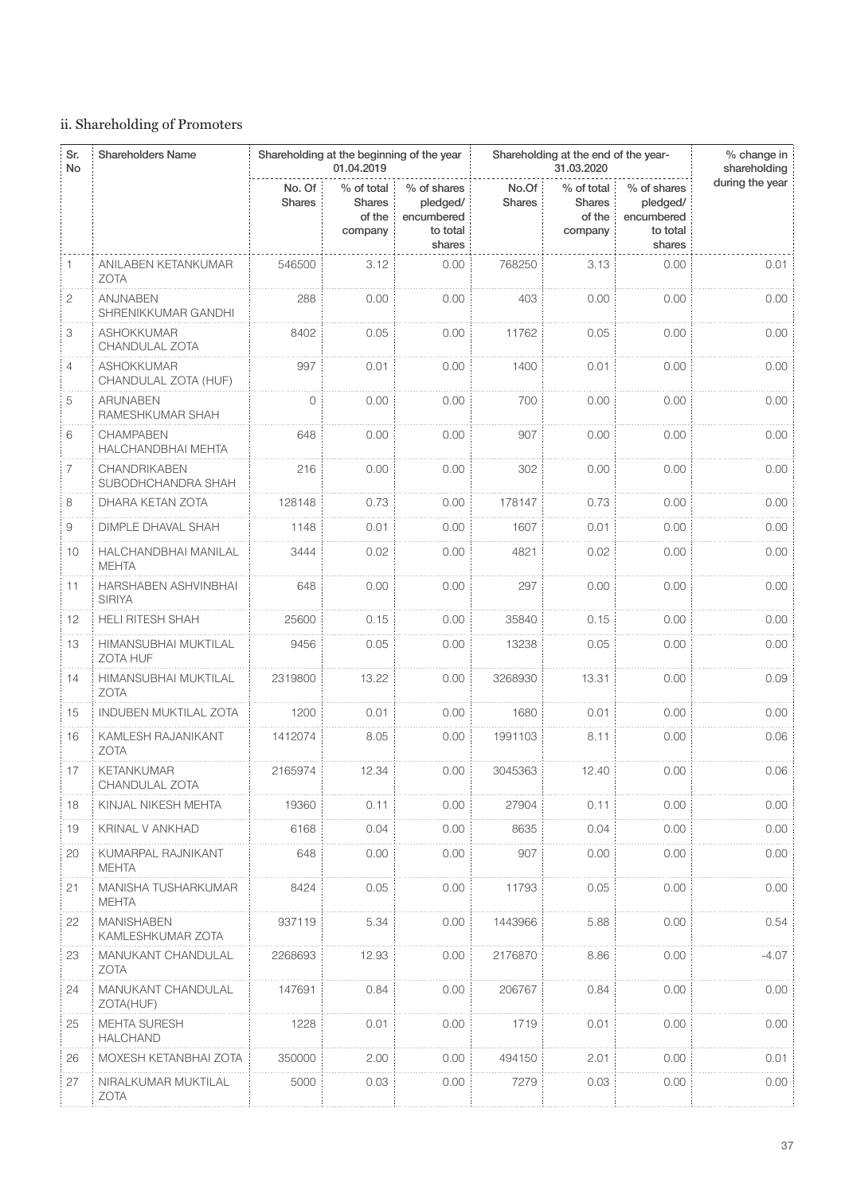# ii. Shareholding of Promoters

| Sr.<br><b>No</b> | <b>Shareholders Name</b>                      | Shareholding at the beginning of the year<br>01.04.2019 |                                                  |                                                             |                        | Shareholding at the end of the year-             | % change in<br>shareholding                                 |                 |
|------------------|-----------------------------------------------|---------------------------------------------------------|--------------------------------------------------|-------------------------------------------------------------|------------------------|--------------------------------------------------|-------------------------------------------------------------|-----------------|
|                  |                                               | No. Of<br><b>Shares</b>                                 | % of total<br><b>Shares</b><br>of the<br>company | % of shares<br>pledged/<br>encumbered<br>to total<br>shares | No.Of<br><b>Shares</b> | % of total<br><b>Shares</b><br>of the<br>company | % of shares<br>pledged/<br>encumbered<br>to total<br>shares | during the year |
| 1                | ANILABEN KETANKUMAR<br><b>ZOTA</b>            | 546500                                                  | 3.12                                             | 0.00                                                        | 768250                 | 3.13                                             | 0.00                                                        | 0.01            |
| 2                | ANJNABEN<br>SHRENIKKUMAR GANDHI               | 288                                                     | 0.00                                             | 0.00                                                        | 403                    | 0.00                                             | 0.00                                                        | 0.00            |
| 3                | <b>ASHOKKUMAR</b><br>CHANDULAL ZOTA           | 8402                                                    | 0.05                                             | 0.00                                                        | 11762                  | 0.05                                             | 0.00                                                        | 0.00            |
| 4                | ASHOKKUMAR<br>CHANDULAL ZOTA (HUF)            | 997                                                     | 0.01                                             | 0.00                                                        | 1400                   | 0.01                                             | 0.00                                                        | 0.00            |
| 5                | <b>ARUNABEN</b><br>RAMESHKUMAR SHAH           | $\circ$                                                 | 0.00                                             | 0.00                                                        | 700                    | 0.00                                             | 0.00                                                        | 0.00            |
| 6                | <b>CHAMPABEN</b><br><b>HALCHANDBHAI MEHTA</b> | 648                                                     | 0.00                                             | 0.00                                                        | 907                    | 0.00                                             | 0.00                                                        | 0.00            |
| 7                | CHANDRIKABEN<br>SUBODHCHANDRA SHAH            | 216                                                     | 0.00                                             | 0.00                                                        | 302                    | 0.00                                             | 0.00                                                        | 0.00            |
| 8                | DHARA KETAN ZOTA                              | 128148                                                  | 0.73                                             | 0.00                                                        | 178147                 | 0.73                                             | 0.00                                                        | 0.00            |
| 9                | DIMPLE DHAVAL SHAH                            | 1148                                                    | 0.01                                             | 0.00                                                        | 1607                   | 0.01                                             | 0.00                                                        | 0.00            |
| 10               | HALCHANDBHAI MANILAL<br><b>MEHTA</b>          | 3444                                                    | 0.02                                             | 0.00                                                        | 4821                   | 0.02                                             | 0.00                                                        | 0.00            |
| 11               | HARSHABEN ASHVINBHAI<br><b>SIRIYA</b>         | 648                                                     | 0.00                                             | 0.00                                                        | 297                    | 0.00                                             | 0.00                                                        | 0.00            |
| 12               | <b>HELI RITESH SHAH</b>                       | 25600                                                   | 0.15                                             | 0.00                                                        | 35840                  | 0.15                                             | 0.00                                                        | 0.00            |
| 13               | HIMANSUBHAI MUKTILAL<br>ZOTA HUF              | 9456                                                    | 0.05                                             | 0.00                                                        | 13238                  | 0.05                                             | 0.00                                                        | 0.00            |
| 14               | HIMANSUBHAI MUKTILAL<br>ZOTA                  | 2319800                                                 | 13.22                                            | 0.00                                                        | 3268930                | 13.31                                            | 0.00                                                        | 0.09            |
| 15               | <b>INDUBEN MUKTILAL ZOTA</b>                  | 1200                                                    | 0.01                                             | 0.00                                                        | 1680                   | 0.01                                             | 0.00                                                        | 0.00            |
| 16               | KAMLESH RAJANIKANT<br><b>ZOTA</b>             | 1412074                                                 | 8.05                                             | 0.00                                                        | 1991103                | 8.11                                             | 0.00                                                        | 0.06            |
| 17               | <b>KETANKUMAR</b><br>CHANDULAL ZOTA           | 2165974                                                 | 12.34                                            | 0.00                                                        | 3045363                | 12.40                                            | 0.00                                                        | 0.06            |
| 18               | KINJAL NIKESH MEHTA                           | 19360                                                   | 0.11                                             | 0.00                                                        | 27904                  | 0.11                                             | 0.00                                                        | 0.00            |
| 19               | KRINAL V ANKHAD                               | 6168                                                    | 0.04                                             | 0.00                                                        | 8635                   | 0.04                                             | 0.00                                                        | 0.00            |
| 20               | KUMARPAL RAJNIKANT<br><b>MEHTA</b>            | 648                                                     | 0.00                                             | 0.00                                                        | 907                    | 0.00                                             | 0.00                                                        | 0.00            |
| 21               | MANISHA TUSHARKUMAR<br>MEHTA                  | 8424                                                    | 0.05                                             | 0.00                                                        | 11793                  | 0.05                                             | 0.00                                                        | 0.00            |
| 22               | <b>MANISHABEN</b><br>KAMLESHKUMAR ZOTA        | 937119                                                  | 5.34                                             | 0.00                                                        | 1443966                | 5.88                                             | 0.00                                                        | 0.54            |
| 23               | MANUKANT CHANDULAL<br><b>ZOTA</b>             | 2268693                                                 | 12.93                                            | 0.00                                                        | 2176870                | 8.86                                             | 0.00                                                        | $-4.07$         |
| 24               | MANUKANT CHANDULAL<br>ZOTA(HUF)               | 147691                                                  | 0.84                                             | 0.00                                                        | 206767                 | 0.84                                             | 0.00                                                        | 0.00            |
| 25               | <b>MEHTA SURESH</b><br><b>HALCHAND</b>        | 1228                                                    | 0.01                                             | 0.00                                                        | 1719                   | 0.01                                             | 0.00                                                        | 0.00            |
| 26               | MOXESH KETANBHAI ZOTA                         | 350000                                                  | 2.00                                             | 0.00                                                        | 494150                 | 2.01                                             | 0.00                                                        | 0.01            |
| 27               | NIRALKUMAR MUKTILAL<br>ZOTA                   | 5000                                                    | 0.03                                             | 0.00                                                        | 7279                   | 0.03                                             | 0.00                                                        | 0.00            |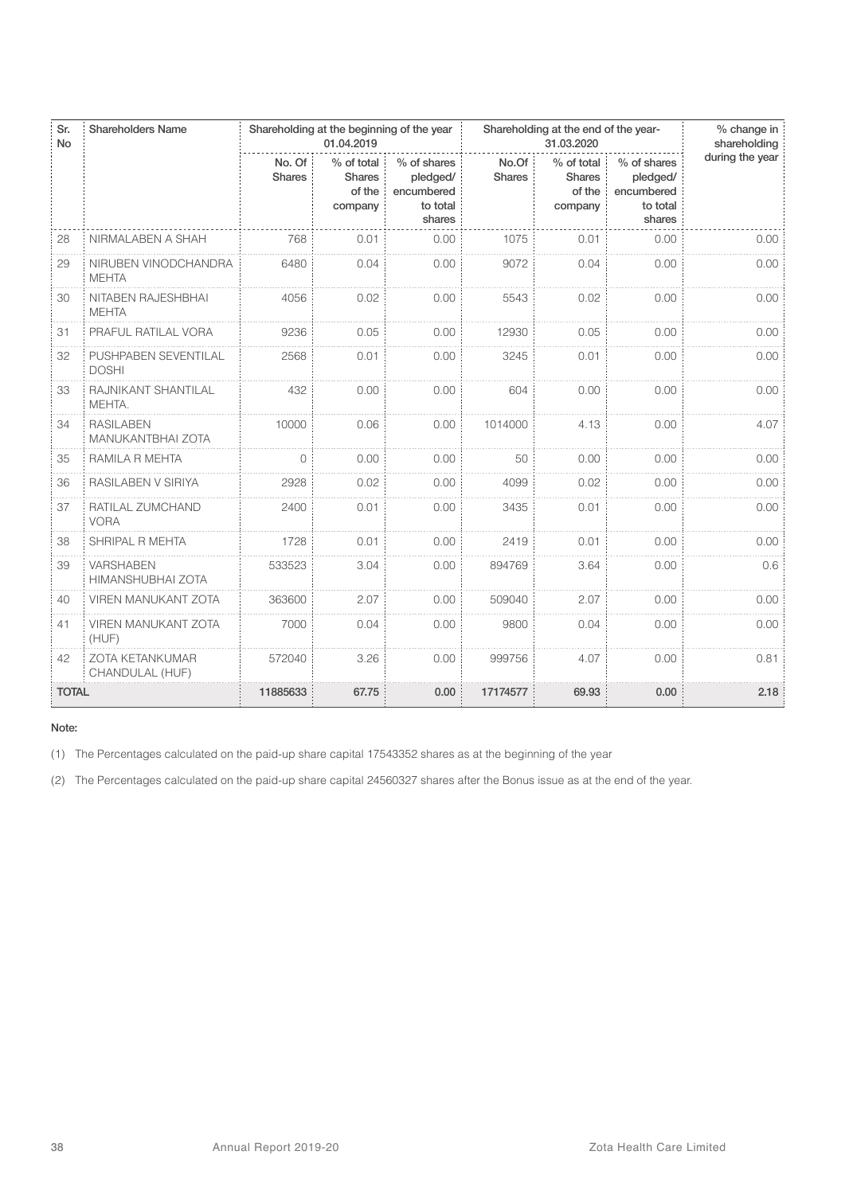| Sr.<br><b>No</b> | <b>Shareholders Name</b>                     |                         | Shareholding at the beginning of the year<br>01.04.2019 |                                                             | Shareholding at the end of the year- | % change in<br>shareholding                      |                                                             |                 |
|------------------|----------------------------------------------|-------------------------|---------------------------------------------------------|-------------------------------------------------------------|--------------------------------------|--------------------------------------------------|-------------------------------------------------------------|-----------------|
|                  |                                              | No. Of<br><b>Shares</b> | % of total<br><b>Shares</b><br>of the<br>company        | % of shares<br>pledged/<br>encumbered<br>to total<br>shares | No.Of<br><b>Shares</b>               | % of total<br><b>Shares</b><br>of the<br>company | % of shares<br>pledged/<br>encumbered<br>to total<br>shares | during the year |
| 28               | NIRMALABEN A SHAH                            | 768                     | 0.01                                                    | 0.00                                                        | 1075                                 | 0.01                                             | 0.00                                                        | 0.00            |
| 29               | NIRUBEN VINODCHANDRA<br><b>MEHTA</b>         | 6480                    | 0.04                                                    | 0.00                                                        | 9072                                 | 0.04                                             | 0.00                                                        | 0.00            |
| 30               | NITABEN RAJESHBHAI<br><b>MEHTA</b>           | 4056                    | 0.02                                                    | 0.00                                                        | 5543                                 | 0.02                                             | 0.00                                                        | 0.00            |
| 31               | PRAFUL RATILAL VORA                          | 9236                    | 0.05                                                    | 0.00                                                        | 12930                                | 0.05                                             | 0.00                                                        | 0.00            |
| 32               | PUSHPABEN SEVENTILAL<br><b>DOSHI</b>         | 2568                    | 0.01                                                    | 0.00                                                        | 3245                                 | 0.01                                             | 0.00                                                        | 0.00            |
| 33               | RAJNIKANT SHANTILAL<br>MEHTA.                | 432                     | 0.00                                                    | 0.00                                                        | 604                                  | 0.00                                             | 0.00                                                        | 0.00            |
| 34               | <b>RASILABEN</b><br><b>MANUKANTBHAI ZOTA</b> | 10000                   | 0.06                                                    | 0.00                                                        | 1014000                              | 4.13                                             | 0.00                                                        | 4.07            |
| 35               | RAMILA R MEHTA                               | $\bigcap$               | 0.00                                                    | 0.00                                                        | 50                                   | 0.00                                             | 0.00                                                        | 0.00            |
| 36               | RASILABEN V SIRIYA                           | 2928                    | 0.02                                                    | 0.00                                                        | 4099                                 | 0.02                                             | 0.00                                                        | 0.00            |
| 37               | RATILAL ZUMCHAND<br><b>VORA</b>              | 2400                    | 0.01                                                    | 0.00                                                        | 3435                                 | 0.01                                             | 0.00                                                        | 0.00            |
| 38               | SHRIPAL R MEHTA                              | 1728                    | 0.01                                                    | 0.00                                                        | 2419                                 | 0.01                                             | 0.00                                                        | 0.00            |
| 39               | <b>VARSHABEN</b><br>HIMANSHUBHAI ZOTA        | 533523                  | 3.04                                                    | 0.00                                                        | 894769                               | 3.64                                             | 0.00                                                        | 0.6             |
| 40               | <b>VIREN MANUKANT ZOTA</b>                   | 363600                  | 2.07                                                    | 0.00                                                        | 509040                               | 2.07                                             | 0.00                                                        | 0.00            |
| 41               | <b>VIREN MANUKANT ZOTA</b><br>(HUF)          | 7000                    | 0.04                                                    | 0.00                                                        | 9800                                 | 0.04                                             | 0.00                                                        | 0.00            |
| 42               | <b>ZOTA KETANKUMAR</b><br>CHANDULAL (HUF)    | 572040                  | 3.26                                                    | 0.00                                                        | 999756                               | 4.07                                             | 0.00                                                        | 0.81            |
| <b>TOTAL</b>     |                                              | 11885633                | 67.75                                                   | 0.00                                                        | 17174577                             | 69.93                                            | 0.00                                                        | 2.18            |

(1) The Percentages calculated on the paid-up share capital 17543352 shares as at the beginning of the year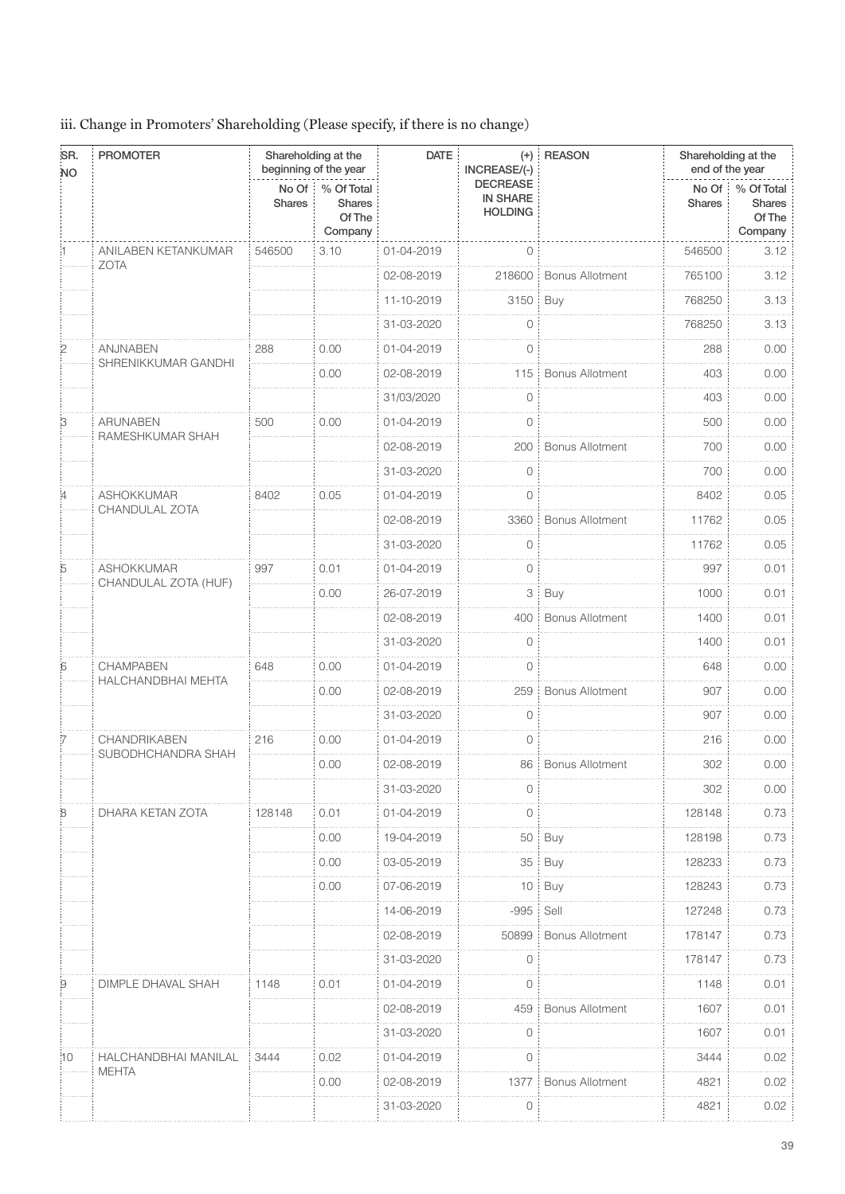# iii. Change in Promoters' Shareholding (Please specify, if there is no change)

| SR.<br><b>NO</b> | <b>PROMOTER</b>                        |                        | Shareholding at the<br>beginning of the year     | <b>DATE</b> | $(+)$<br>INCREASE/(-)                                | <b>REASON</b>          | end of the year | Shareholding at the                                    |
|------------------|----------------------------------------|------------------------|--------------------------------------------------|-------------|------------------------------------------------------|------------------------|-----------------|--------------------------------------------------------|
|                  |                                        | No Of<br><b>Shares</b> | % Of Total<br><b>Shares</b><br>Of The<br>Company |             | <b>DECREASE</b><br><b>IN SHARE</b><br><b>HOLDING</b> |                        | <b>Shares</b>   | No Of % Of Total<br><b>Shares</b><br>Of The<br>Company |
|                  | ANILABEN KETANKUMAR                    | 546500                 | 3.10                                             | 01-04-2019  | $\overline{0}$                                       |                        | 546500          | 3.12                                                   |
|                  | <b>ZOTA</b>                            |                        |                                                  | 02-08-2019  | 218600                                               | <b>Bonus Allotment</b> | 765100          | 3.12                                                   |
|                  |                                        |                        |                                                  | 11-10-2019  | 3150                                                 | Buy                    | 768250          | 3.13                                                   |
|                  |                                        |                        |                                                  | 31-03-2020  | 0                                                    |                        | 768250          | 3.13                                                   |
| 2                | <b>ANJNABEN</b>                        | 288                    | 0.00                                             | 01-04-2019  | 0                                                    |                        | 288             | 0.00                                                   |
|                  | SHRENIKKUMAR GANDHI                    |                        | 0.00                                             | 02-08-2019  | 115                                                  | Bonus Allotment        | 403             | 0.00                                                   |
|                  |                                        |                        |                                                  | 31/03/2020  | $\circ$                                              |                        | 403             | 0.00                                                   |
| B                | <b>ARUNABEN</b><br>RAMESHKUMAR SHAH    | 500                    | 0.00                                             | 01-04-2019  | $\circ$                                              |                        | 500             | 0.00                                                   |
|                  |                                        |                        |                                                  | 02-08-2019  | 200                                                  | <b>Bonus Allotment</b> | 700             | 0.00                                                   |
|                  |                                        |                        |                                                  | 31-03-2020  | 0                                                    |                        | 700             | 0.00                                                   |
|                  | <b>ASHOKKUMAR</b>                      | 8402                   | 0.05                                             | 01-04-2019  | $\overline{0}$                                       |                        | 8402            | 0.05                                                   |
|                  | CHANDULAL ZOTA                         |                        |                                                  | 02-08-2019  | 3360                                                 | <b>Bonus Allotment</b> | 11762           | 0.05                                                   |
|                  |                                        |                        |                                                  | 31-03-2020  | 0                                                    |                        | 11762           | 0.05                                                   |
| 5                | ASHOKKUMAR                             | 997                    | 0.01                                             | 01-04-2019  | $\circ$                                              |                        | 997             | 0.01                                                   |
|                  | CHANDULAL ZOTA (HUF)                   |                        | 0.00                                             | 26-07-2019  |                                                      | $3$ $\vdots$ Buy       | 1000            | 0.01                                                   |
|                  |                                        |                        |                                                  | 02-08-2019  | 400                                                  | <b>Bonus Allotment</b> | 1400            | 0.01                                                   |
|                  |                                        |                        |                                                  | 31-03-2020  | 0                                                    |                        | 1400            | 0.01                                                   |
| 6                | <b>CHAMPABEN</b><br>HALCHANDBHAI MEHTA | 648                    | 0.00                                             | 01-04-2019  | 0                                                    |                        | 648             | 0.00                                                   |
|                  |                                        |                        | 0.00                                             | 02-08-2019  | 259                                                  | <b>Bonus Allotment</b> | 907             | 0.00                                                   |
|                  |                                        |                        |                                                  | 31-03-2020  | 0                                                    |                        | 907             | 0.00                                                   |
|                  | CHANDRIKABEN                           | 216                    | 0.00                                             | 01-04-2019  | 0                                                    |                        | 216             | 0.00                                                   |
|                  | SUBODHCHANDRA SHAH                     |                        | 0.00                                             | 02-08-2019  |                                                      | 86 Bonus Allotment     | 302             | 0.00                                                   |
|                  |                                        |                        |                                                  | 31-03-2020  | 0                                                    |                        | 302             | 0.00                                                   |
| 8                | DHARA KETAN ZOTA                       | 128148                 | 0.01                                             | 01-04-2019  | 0                                                    |                        | 128148          | 0.73                                                   |
|                  |                                        |                        | 0.00                                             | 19-04-2019  |                                                      | $50$ $\vdots$ Buy      | 128198          | 0.73                                                   |
|                  |                                        |                        | 0.00                                             | 03-05-2019  | 35:                                                  | Buy                    | 128233          | 0.73                                                   |
|                  |                                        |                        | 0.00                                             | 07-06-2019  | 10                                                   | Buy<br>÷               | 128243          | 0.73                                                   |
|                  |                                        |                        |                                                  | 14-06-2019  | $-995$                                               | Sell                   | 127248          | 0.73                                                   |
|                  |                                        |                        |                                                  | 02-08-2019  | 50899                                                | <b>Bonus Allotment</b> | 178147          | 0.73                                                   |
|                  |                                        |                        |                                                  | 31-03-2020  | 0                                                    |                        | 178147          | 0.73                                                   |
| 9                | DIMPLE DHAVAL SHAH                     | 1148                   | 0.01                                             | 01-04-2019  | $\circ$                                              |                        | 1148            | 0.01                                                   |
|                  |                                        |                        |                                                  | 02-08-2019  | 459                                                  | <b>Bonus Allotment</b> | 1607            | 0.01                                                   |
|                  |                                        |                        |                                                  | 31-03-2020  | 0                                                    |                        | 1607            | 0.01                                                   |
| :10              | HALCHANDBHAI MANILAL                   | 3444                   | 0.02                                             | 01-04-2019  | 0                                                    |                        | 3444            | 0.02                                                   |
|                  | <b>MEHTA</b>                           |                        | 0.00                                             | 02-08-2019  | 1377                                                 | <b>Bonus Allotment</b> | 4821            | 0.02                                                   |
|                  |                                        |                        |                                                  | 31-03-2020  | 0                                                    |                        | 4821            | 0.02                                                   |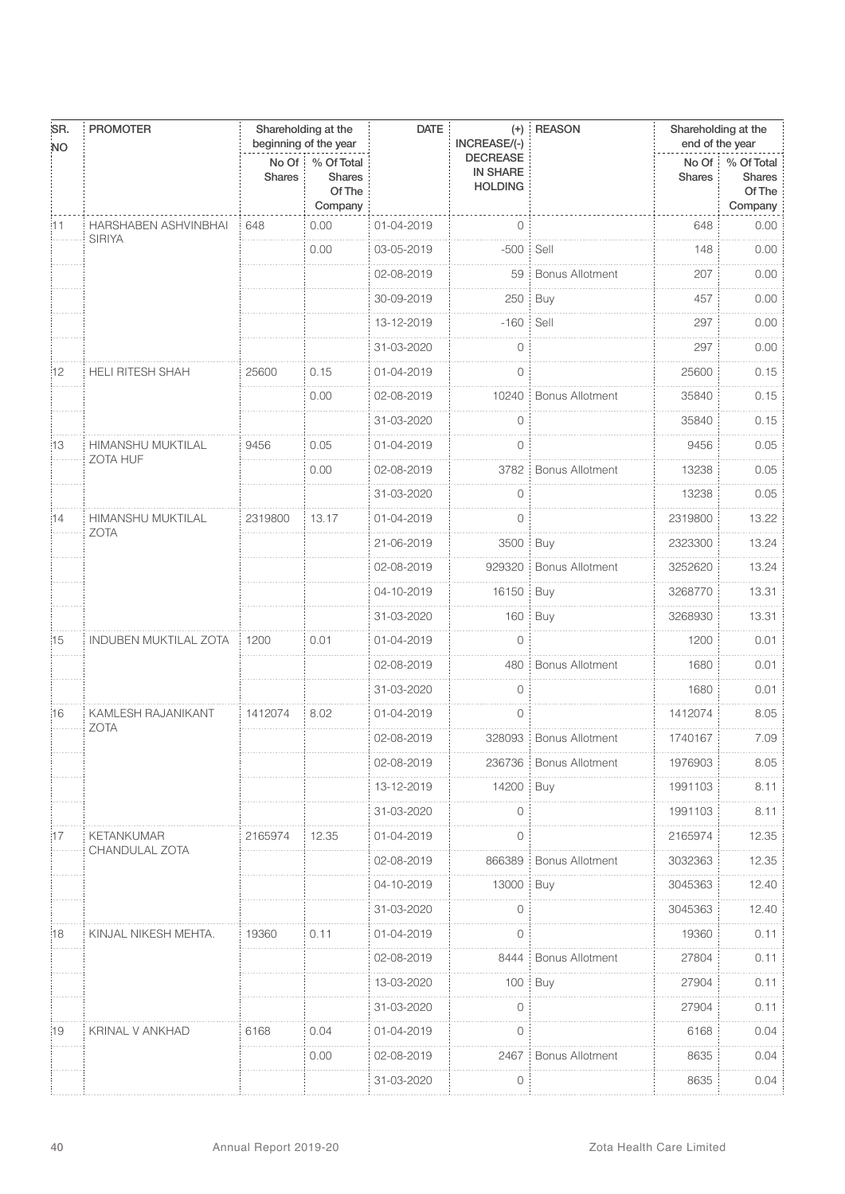| SR.       | <b>PROMOTER</b>                             |                                   | Shareholding at the<br>beginning of the year     | <b>DATE</b> | $(+)$<br>INCREASE/(-)                                | <b>REASON</b>          | Shareholding at the<br>end of the year |                                           |
|-----------|---------------------------------------------|-----------------------------------|--------------------------------------------------|-------------|------------------------------------------------------|------------------------|----------------------------------------|-------------------------------------------|
| <b>NO</b> |                                             | $No$ Of $\vdots$<br><b>Shares</b> | % Of Total<br><b>Shares</b><br>Of The<br>Company |             | <b>DECREASE</b><br><b>IN SHARE</b><br><b>HOLDING</b> |                        | No Of<br><b>Shares</b>                 | % Of Total<br>Shares<br>Of The<br>Company |
| i11       | HARSHABEN ASHVINBHAI                        | 648                               | 0.00                                             | 01-04-2019  | $\circ$                                              |                        | 648                                    | 0.00                                      |
|           | <b>SIRIYA</b>                               |                                   | 0.00                                             | 03-05-2019  | $-500$                                               | Sell                   | 148                                    | 0.00                                      |
|           |                                             |                                   |                                                  | 02-08-2019  | 59                                                   | <b>Bonus Allotment</b> | 207                                    | 0.00                                      |
|           |                                             |                                   |                                                  | 30-09-2019  | 250                                                  | Buy                    | 457                                    | 0.00                                      |
|           |                                             |                                   |                                                  | 13-12-2019  | $-160$                                               | Sell                   | 297                                    | 0.00                                      |
|           |                                             |                                   |                                                  | 31-03-2020  | $\circ$                                              |                        | 297                                    | 0.00                                      |
| 12        | <b>HELI RITESH SHAH</b>                     | 25600                             | 0.15                                             | 01-04-2019  | $\circ$                                              |                        | 25600                                  | 0.15                                      |
|           |                                             |                                   | 0.00                                             | 02-08-2019  | 10240                                                | <b>Bonus Allotment</b> | 35840                                  | 0.15                                      |
|           |                                             |                                   |                                                  | 31-03-2020  | $\circ$                                              |                        | 35840                                  | 0.15                                      |
| 13        | <b>HIMANSHU MUKTILAL</b><br><b>ZOTA HUF</b> | 9456                              | 0.05                                             | 01-04-2019  | $\circ$                                              |                        | 9456                                   | 0.05                                      |
|           |                                             |                                   | 0.00                                             | 02-08-2019  | 3782                                                 | <b>Bonus Allotment</b> | 13238                                  | 0.05                                      |
|           |                                             |                                   |                                                  | 31-03-2020  | $\circ$                                              |                        | 13238                                  | 0.05                                      |
| :14       | <b>HIMANSHU MUKTILAL</b><br><b>ZOTA</b>     | 2319800                           | 13.17                                            | 01-04-2019  | $\circ$                                              |                        | 2319800                                | 13.22                                     |
|           |                                             |                                   |                                                  | 21-06-2019  | 3500 Buy                                             |                        | 2323300                                | 13.24                                     |
|           |                                             |                                   |                                                  | 02-08-2019  | 929320                                               | <b>Bonus Allotment</b> | 3252620                                | 13.24                                     |
|           |                                             |                                   |                                                  | 04-10-2019  | 16150                                                | Buy                    | 3268770                                | 13.31                                     |
|           |                                             |                                   |                                                  | 31-03-2020  | 160                                                  | Buy                    | 3268930                                | 13.31                                     |
| :15       | <b>INDUBEN MUKTILAL ZOTA</b>                | 1200                              | 0.01                                             | 01-04-2019  | $\overline{0}$                                       |                        | 1200                                   | 0.01                                      |
|           |                                             |                                   |                                                  | 02-08-2019  | 480                                                  | <b>Bonus Allotment</b> | 1680                                   | 0.01                                      |
|           |                                             |                                   |                                                  | 31-03-2020  | $\circ$                                              |                        | 1680                                   | 0.01                                      |
| :16       | KAMLESH RAJANIKANT<br><b>ZOTA</b>           | 1412074                           | 8.02                                             | 01-04-2019  | $\circ$                                              |                        | 1412074                                | 8.05                                      |
|           |                                             |                                   |                                                  | 02-08-2019  |                                                      | 328093 Bonus Allotment | 1740167                                | 7.09                                      |
|           |                                             |                                   |                                                  | 02-08-2019  | 236736                                               | <b>Bonus Allotment</b> | 1976903                                | 8.05                                      |
|           |                                             |                                   |                                                  | 13-12-2019  | 14200                                                | Buy                    | 1991103                                | 8.11                                      |
|           |                                             |                                   |                                                  | 31-03-2020  | 0                                                    |                        | 1991103                                | 8.11                                      |
| 17        | KETANKUMAR<br>CHANDULAL ZOTA                | 2165974                           | 12.35                                            | 01-04-2019  | 0                                                    |                        | 2165974                                | 12.35                                     |
|           |                                             |                                   |                                                  | 02-08-2019  | 866389                                               | <b>Bonus Allotment</b> | 3032363                                | 12.35                                     |
|           |                                             |                                   |                                                  | 04-10-2019  | 13000                                                | Buy                    | 3045363                                | 12.40                                     |
|           |                                             |                                   |                                                  | 31-03-2020  | 0                                                    |                        | 3045363                                | 12.40                                     |
| 18        | KINJAL NIKESH MEHTA.                        | 19360                             | 0.11                                             | 01-04-2019  | 0                                                    |                        | 19360                                  | 0.11                                      |
|           |                                             |                                   |                                                  | 02-08-2019  | 8444                                                 | <b>Bonus Allotment</b> | 27804                                  | 0.11                                      |
|           |                                             |                                   |                                                  | 13-03-2020  | 100                                                  | Buy                    | 27904                                  | 0.11                                      |
|           |                                             |                                   |                                                  | 31-03-2020  | $\Omega$                                             |                        | 27904                                  | 0.11                                      |
| :19       | KRINAL V ANKHAD                             | 6168                              | 0.04                                             | 01-04-2019  | 0                                                    |                        | 6168                                   | 0.04                                      |
|           |                                             |                                   | 0.00                                             | 02-08-2019  | 2467                                                 | <b>Bonus Allotment</b> | 8635                                   | 0.04                                      |
|           |                                             |                                   |                                                  | 31-03-2020  | 0                                                    |                        | 8635                                   | 0.04                                      |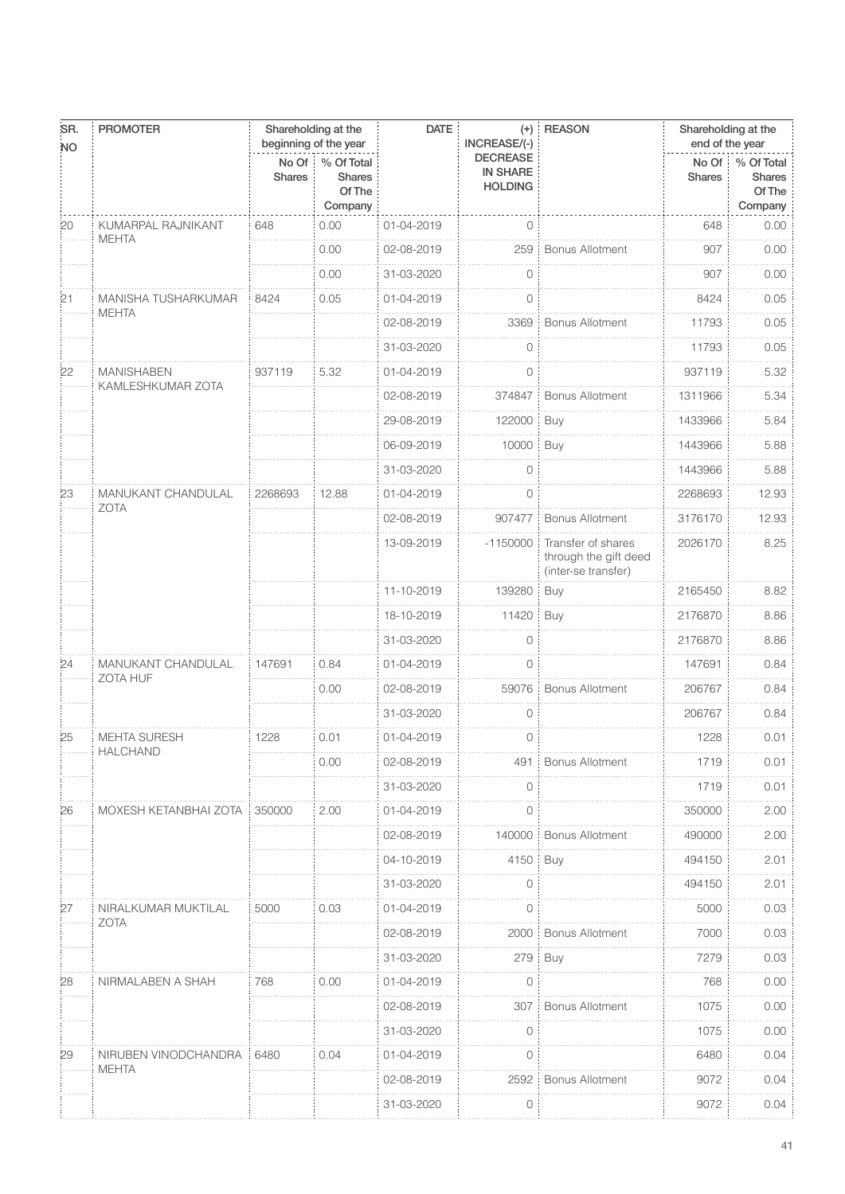| SR.<br><b>NO</b> | <b>PROMOTER</b>       |                        | Shareholding at the<br>beginning of the year     | <b>DATE</b> | $(+)$<br>INCREASE/(-)                                | <b>REASON</b>                                                      | Shareholding at the<br>end of the year |                                           |
|------------------|-----------------------|------------------------|--------------------------------------------------|-------------|------------------------------------------------------|--------------------------------------------------------------------|----------------------------------------|-------------------------------------------|
|                  |                       | No Of<br><b>Shares</b> | % Of Total<br><b>Shares</b><br>Of The<br>Company |             | <b>DECREASE</b><br><b>IN SHARE</b><br><b>HOLDING</b> |                                                                    | No Of<br><b>Shares</b>                 | % Of Total<br>Shares<br>Of The<br>Company |
| 20               | KUMARPAL RAJNIKANT    | 648                    | 0.00                                             | 01-04-2019  | $\overline{0}$                                       |                                                                    | 648                                    | 0.00                                      |
|                  | <b>MEHTA</b>          |                        | 0.00                                             | 02-08-2019  | 259                                                  | <b>Bonus Allotment</b>                                             | 907                                    | 0.00                                      |
|                  |                       |                        | 0.00                                             | 31-03-2020  | 0                                                    |                                                                    | 907                                    | 0.00                                      |
| $^{21}$          | MANISHA TUSHARKUMAR   | 8424                   | 0.05                                             | 01-04-2019  | 0                                                    |                                                                    | 8424                                   | 0.05                                      |
|                  | <b>MEHTA</b>          |                        |                                                  | 02-08-2019  | 3369                                                 | <b>Bonus Allotment</b>                                             | 11793                                  | 0.05                                      |
|                  |                       |                        |                                                  | 31-03-2020  | $\circ$                                              |                                                                    | 11793                                  | 0.05                                      |
| 22               | <b>MANISHABEN</b>     | 937119                 | 5.32                                             | 01-04-2019  | $\mathbf 0$                                          |                                                                    | 937119                                 | 5.32                                      |
|                  | KAMLESHKUMAR ZOTA     |                        |                                                  | 02-08-2019  | 374847                                               | <b>Bonus Allotment</b>                                             | 1311966                                | 5.34                                      |
|                  |                       |                        |                                                  | 29-08-2019  | 122000                                               | Buy                                                                | 1433966                                | 5.84                                      |
|                  |                       |                        |                                                  | 06-09-2019  | 10000                                                | Buy                                                                | 1443966                                | 5.88                                      |
|                  |                       |                        |                                                  | 31-03-2020  | $\Omega$                                             |                                                                    | 1443966                                | 5.88                                      |
| 23               | MANUKANT CHANDULAL    | 2268693                | 12.88                                            | 01-04-2019  | $\circ$                                              |                                                                    | 2268693                                | 12.93                                     |
|                  | <b>ZOTA</b>           |                        |                                                  | 02-08-2019  | 907477                                               | <b>Bonus Allotment</b>                                             | 3176170                                | 12.93                                     |
|                  |                       |                        |                                                  | 13-09-2019  | $-1150000$                                           | Transfer of shares<br>through the gift deed<br>(inter-se transfer) | 2026170                                | 8.25                                      |
|                  |                       |                        |                                                  | 11-10-2019  | 139280                                               | Buy                                                                | 2165450                                | 8.82                                      |
|                  |                       |                        |                                                  | 18-10-2019  | 11420                                                | Buy                                                                | 2176870                                | 8.86                                      |
|                  |                       |                        |                                                  | 31-03-2020  | 0                                                    |                                                                    | 2176870                                | 8.86                                      |
| 24               | MANUKANT CHANDULAL    | 147691                 | 0.84                                             | 01-04-2019  | $\circ$                                              |                                                                    | 147691                                 | 0.84                                      |
|                  | <b>ZOTA HUF</b>       |                        | 0.00                                             | 02-08-2019  | 59076                                                | <b>Bonus Allotment</b>                                             | 206767                                 | 0.84                                      |
|                  |                       |                        |                                                  | 31-03-2020  | 0                                                    |                                                                    | 206767                                 | 0.84                                      |
| 25               | <b>MEHTA SURESH</b>   | 1228                   | 0.01                                             | 01-04-2019  | $\circ$                                              |                                                                    | 1228                                   | 0.01                                      |
|                  | <b>HALCHAND</b>       |                        | 0.00                                             | 02-08-2019  | 491                                                  | <b>Bonus Allotment</b>                                             | 1719                                   | 0.01                                      |
|                  |                       |                        |                                                  | 31-03-2020  | 0                                                    |                                                                    | 1719                                   | 0.01                                      |
| 26               | MOXESH KETANBHAI ZOTA | 350000                 | 2.00                                             | 01-04-2019  | $\circ$                                              |                                                                    | 350000                                 | 2.00                                      |
|                  |                       |                        |                                                  | 02-08-2019  | 140000                                               | <b>Bonus Allotment</b>                                             | 490000                                 | 2.00                                      |
|                  |                       |                        |                                                  | 04-10-2019  | 4150                                                 | Buy                                                                | 494150                                 | 2.01                                      |
|                  |                       |                        |                                                  | 31-03-2020  | 0                                                    |                                                                    | 494150                                 | 2.01                                      |
| 27               | NIRALKUMAR MUKTILAL   | 5000                   | 0.03                                             | 01-04-2019  | $\circ$                                              |                                                                    | 5000                                   | 0.03                                      |
|                  | <b>ZOTA</b>           |                        |                                                  | 02-08-2019  | 2000                                                 | <b>Bonus Allotment</b>                                             | 7000                                   | 0.03                                      |
|                  |                       |                        |                                                  | 31-03-2020  | 279                                                  | Buy                                                                | 7279                                   | 0.03                                      |
| 28               | NIRMALABEN A SHAH     | 768                    | 0.00                                             | 01-04-2019  | $\overline{0}$                                       |                                                                    | 768                                    | 0.00                                      |
|                  |                       |                        |                                                  | 02-08-2019  | 307                                                  | <b>Bonus Allotment</b>                                             | 1075                                   | 0.00                                      |
|                  |                       |                        |                                                  | 31-03-2020  | 0                                                    |                                                                    | 1075                                   | 0.00                                      |
| 29               | NIRUBEN VINODCHANDRA  | 6480                   | 0.04                                             | 01-04-2019  | $\mathbf{0}$                                         |                                                                    | 6480                                   | 0.04                                      |
|                  | <b>MEHTA</b>          |                        |                                                  | 02-08-2019  | 2592                                                 | <b>Bonus Allotment</b>                                             | 9072                                   | 0.04                                      |
|                  |                       |                        |                                                  | 31-03-2020  | $\circ$                                              |                                                                    | 9072                                   | 0.04                                      |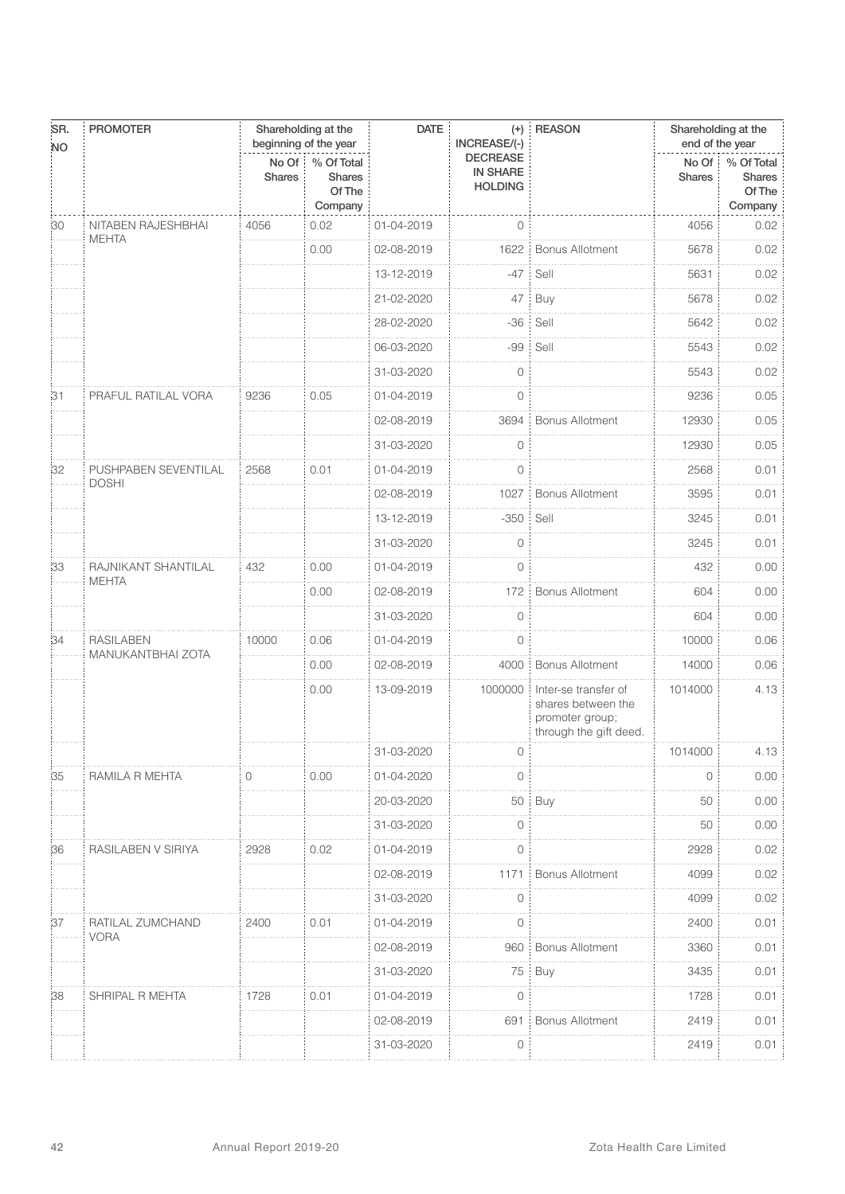| SR.<br><b>NO</b> | <b>PROMOTER</b>                       |                        | Shareholding at the<br>beginning of the year     | <b>DATE</b> | $(+)$<br>INCREASE/(-)                                | <b>REASON</b>                                                                           | Shareholding at the<br>end of the year |                                           |
|------------------|---------------------------------------|------------------------|--------------------------------------------------|-------------|------------------------------------------------------|-----------------------------------------------------------------------------------------|----------------------------------------|-------------------------------------------|
|                  |                                       | No Of<br><b>Shares</b> | % Of Total<br><b>Shares</b><br>Of The<br>Company |             | <b>DECREASE</b><br><b>IN SHARE</b><br><b>HOLDING</b> |                                                                                         | $No$ Of $\vdots$<br><b>Shares</b>      | % Of Total<br>Shares<br>Of The<br>Company |
| 30               | NITABEN RAJESHBHAI                    | 4056                   | 0.02                                             | 01-04-2019  | $\overline{0}$                                       |                                                                                         | 4056                                   | 0.02                                      |
|                  | <b>MEHTA</b>                          |                        | 0.00                                             | 02-08-2019  | 1622                                                 | <b>Bonus Allotment</b>                                                                  | 5678                                   | 0.02                                      |
|                  |                                       |                        |                                                  | 13-12-2019  | $-47$ :                                              | Sell                                                                                    | 5631                                   | 0.02                                      |
|                  |                                       |                        |                                                  | 21-02-2020  | 47 :                                                 | Buy                                                                                     | 5678                                   | 0.02                                      |
|                  |                                       |                        |                                                  | 28-02-2020  | $-36$                                                | Sell                                                                                    | 5642                                   | 0.02                                      |
|                  |                                       |                        |                                                  | 06-03-2020  | $-99:$                                               | Sell                                                                                    | 5543                                   | 0.02                                      |
|                  |                                       |                        |                                                  | 31-03-2020  | $\mathbf 0$                                          |                                                                                         | 5543                                   | 0.02                                      |
| 31               | PRAFUL RATILAL VORA                   | 9236                   | 0.05                                             | 01-04-2019  | 0                                                    |                                                                                         | 9236                                   | 0.05                                      |
|                  |                                       |                        |                                                  | 02-08-2019  | 3694                                                 | <b>Bonus Allotment</b>                                                                  | 12930                                  | 0.05                                      |
|                  |                                       |                        |                                                  | 31-03-2020  | $\overline{0}$                                       |                                                                                         | 12930                                  | 0.05                                      |
| 32               | PUSHPABEN SEVENTILAL<br><b>DOSHI</b>  | 2568                   | 0.01                                             | 01-04-2019  | $\overline{0}$                                       |                                                                                         | 2568                                   | 0.01                                      |
|                  |                                       |                        |                                                  | 02-08-2019  | 1027                                                 | <b>Bonus Allotment</b>                                                                  | 3595                                   | 0.01                                      |
|                  |                                       |                        |                                                  | 13-12-2019  | $-350$                                               | Sell                                                                                    | 3245                                   | 0.01                                      |
|                  |                                       |                        |                                                  | 31-03-2020  | 0                                                    |                                                                                         | 3245                                   | 0.01                                      |
| 33               | RAJNIKANT SHANTILAL<br><b>MEHTA</b>   | 432                    | 0.00                                             | 01-04-2019  | $\overline{0}$                                       |                                                                                         | 432                                    | 0.00                                      |
|                  |                                       |                        | 0.00                                             | 02-08-2019  | 172                                                  | <b>Bonus Allotment</b>                                                                  | 604                                    | 0.00                                      |
|                  |                                       |                        |                                                  | 31-03-2020  | $\overline{0}$                                       |                                                                                         | 604                                    | 0.00                                      |
| 34               | <b>RASILABEN</b><br>MANUKANTBHAI ZOTA | 10000                  | 0.06                                             | 01-04-2019  | 0                                                    |                                                                                         | 10000                                  | 0.06                                      |
|                  |                                       |                        | 0.00                                             | 02-08-2019  | 4000                                                 | <b>Bonus Allotment</b>                                                                  | 14000                                  | 0.06                                      |
|                  |                                       |                        | 0.00                                             | 13-09-2019  | 1000000                                              | Inter-se transfer of<br>shares between the<br>promoter group;<br>through the gift deed. | 1014000                                | 4.13                                      |
|                  |                                       |                        |                                                  | 31-03-2020  | $()$ :                                               |                                                                                         | 1014000                                | 4.13                                      |
| 35               | RAMILA R MEHTA                        | 0                      | 0.00                                             | 01-04-2020  | $\Omega$                                             |                                                                                         | 0                                      | 0.00                                      |
|                  |                                       |                        |                                                  | 20-03-2020  |                                                      | 50 Buy                                                                                  | 50                                     | 0.00                                      |
|                  |                                       |                        |                                                  | 31-03-2020  | 0                                                    |                                                                                         | 50                                     | 0.00                                      |
| 36               | RASILABEN V SIRIYA                    | 2928                   | 0.02                                             | 01-04-2019  | 0                                                    |                                                                                         | 2928                                   | 0.02                                      |
|                  |                                       |                        |                                                  | 02-08-2019  | 1171                                                 | <b>Bonus Allotment</b>                                                                  | 4099                                   | 0.02                                      |
|                  |                                       |                        |                                                  | 31-03-2020  | 0                                                    |                                                                                         | 4099                                   | 0.02                                      |
| 37               | RATILAL ZUMCHAND<br><b>VORA</b>       | 2400                   | 0.01                                             | 01-04-2019  | 0                                                    |                                                                                         | 2400                                   | 0.01                                      |
|                  |                                       |                        |                                                  | 02-08-2019  | 960                                                  | <b>Bonus Allotment</b>                                                                  | 3360                                   | 0.01                                      |
|                  |                                       |                        |                                                  | 31-03-2020  | 75                                                   | Buy                                                                                     | 3435                                   | 0.01                                      |
| 38               | SHRIPAL R MEHTA                       | 1728                   | 0.01                                             | 01-04-2019  | 0                                                    |                                                                                         | 1728                                   | 0.01                                      |
|                  |                                       |                        |                                                  | 02-08-2019  | 691                                                  | <b>Bonus Allotment</b>                                                                  | 2419                                   | 0.01                                      |
|                  |                                       |                        |                                                  | 31-03-2020  | 0                                                    |                                                                                         | 2419                                   | 0.01                                      |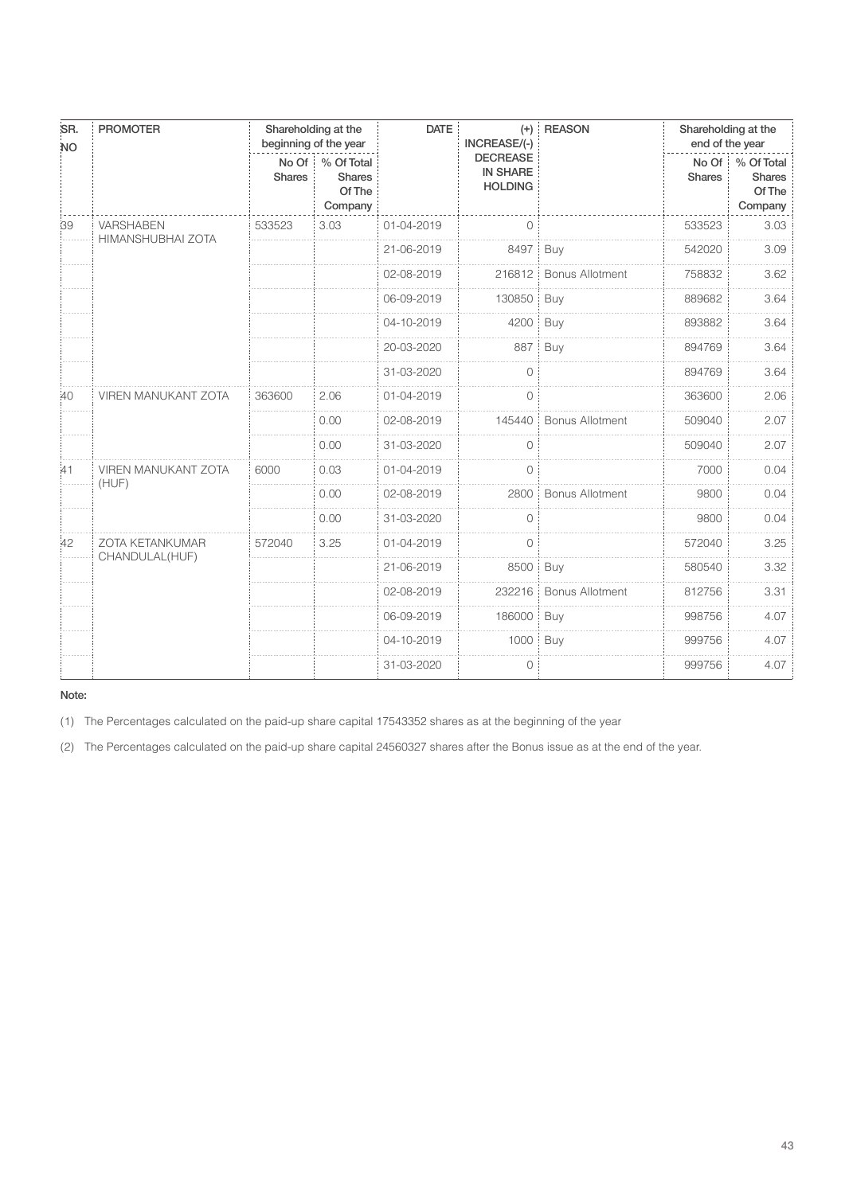| SR.<br><b>NO</b> | <b>PROMOTER</b>                       |                        | Shareholding at the<br>beginning of the year     | <b>DATE</b> | $(+)$<br>INCREASE/(-)                                | <b>REASON</b>          | Shareholding at the<br>end of the year |                                                  |
|------------------|---------------------------------------|------------------------|--------------------------------------------------|-------------|------------------------------------------------------|------------------------|----------------------------------------|--------------------------------------------------|
|                  |                                       | No Of<br><b>Shares</b> | % Of Total<br><b>Shares</b><br>Of The<br>Company |             | <b>DECREASE</b><br><b>IN SHARE</b><br><b>HOLDING</b> |                        | No Of<br><b>Shares</b>                 | % Of Total<br><b>Shares</b><br>Of The<br>Company |
| 39               | <b>VARSHABEN</b><br>HIMANSHUBHAI ZOTA | 533523                 | 3.03                                             | 01-04-2019  | $\circ$                                              |                        | 533523                                 | 3.03                                             |
|                  |                                       |                        |                                                  | 21-06-2019  | 8497                                                 | Buy                    | 542020                                 | 3.09                                             |
|                  |                                       |                        |                                                  | 02-08-2019  | 216812                                               | <b>Bonus Allotment</b> | 758832                                 | 3.62                                             |
|                  |                                       |                        |                                                  | 06-09-2019  | 130850                                               | Buy                    | 889682                                 | 3.64                                             |
|                  |                                       |                        |                                                  | 04-10-2019  | 4200                                                 | Buy                    | 893882                                 | 3.64                                             |
|                  |                                       |                        |                                                  | 20-03-2020  | 887                                                  | Buy                    | 894769                                 | 3.64                                             |
|                  |                                       |                        |                                                  | 31-03-2020  | 0                                                    |                        | 894769                                 | 3.64                                             |
| :40              | <b>VIREN MANUKANT ZOTA</b>            | 363600                 | 2.06                                             | 01-04-2019  | $\circ$                                              |                        | 363600                                 | 2.06                                             |
|                  |                                       |                        | 0.00                                             | 02-08-2019  | 145440                                               | <b>Bonus Allotment</b> | 509040                                 | 2.07                                             |
|                  |                                       |                        | 0.00                                             | 31-03-2020  | $\circ$                                              |                        | 509040                                 | 2.07                                             |
| :41              | <b>VIREN MANUKANT ZOTA</b>            | 6000                   | 0.03                                             | 01-04-2019  | $\mathbf{O}$                                         |                        | 7000                                   | 0.04                                             |
|                  | (HUF)                                 |                        | 0.00                                             | 02-08-2019  | 2800                                                 | <b>Bonus Allotment</b> | 9800                                   | 0.04                                             |
|                  |                                       |                        | 0.00                                             | 31-03-2020  | $\circ$                                              |                        | 9800                                   | 0.04                                             |
| 42               | ZOTA KETANKUMAR                       | 572040                 | 3.25                                             | 01-04-2019  | $\circ$                                              |                        | 572040                                 | 3.25                                             |
|                  | CHANDULAL(HUF)                        |                        |                                                  | 21-06-2019  | 8500 Buy                                             |                        | 580540                                 | 3.32                                             |
|                  |                                       |                        |                                                  | 02-08-2019  | 232216                                               | <b>Bonus Allotment</b> | 812756                                 | 3.31                                             |
|                  |                                       |                        |                                                  | 06-09-2019  | 186000                                               | Buy                    | 998756                                 | 4.07                                             |
|                  |                                       |                        |                                                  | 04-10-2019  | 1000:                                                | Buy                    | 999756                                 | 4.07                                             |
|                  |                                       |                        |                                                  | 31-03-2020  | $\circ$                                              |                        | 999756                                 | 4.07                                             |

(1) The Percentages calculated on the paid-up share capital 17543352 shares as at the beginning of the year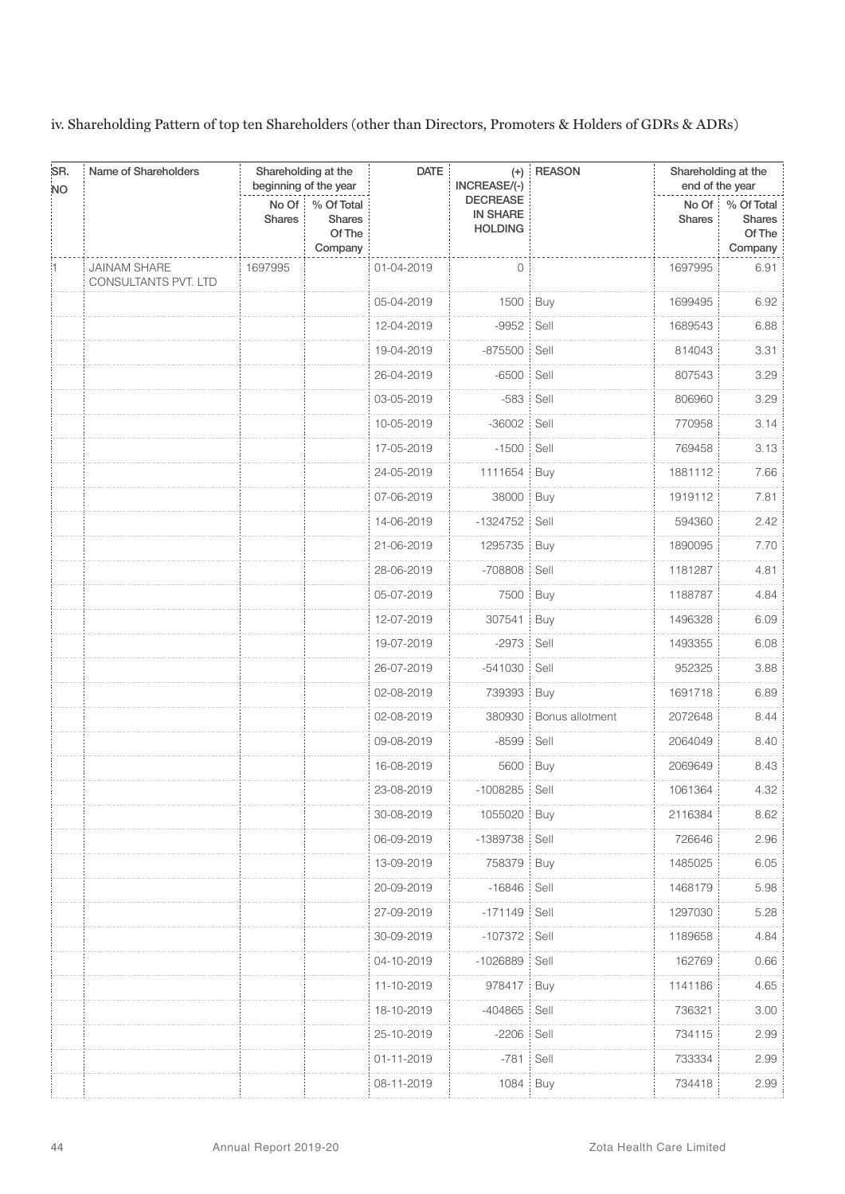iv. Shareholding Pattern of top ten Shareholders (other than Directors, Promoters & Holders of GDRs & ADRs)

| SR.<br><b>NO</b> | Name of Shareholders                               |                        | Shareholding at the<br>beginning of the year     | <b>DATE</b> | INCREASE/(-)                                         | (+) REASON      | Shareholding at the<br>end of the year  |                                                  |
|------------------|----------------------------------------------------|------------------------|--------------------------------------------------|-------------|------------------------------------------------------|-----------------|-----------------------------------------|--------------------------------------------------|
|                  |                                                    | No Of<br><b>Shares</b> | % Of Total<br><b>Shares</b><br>Of The<br>Company |             | <b>DECREASE</b><br><b>IN SHARE</b><br><b>HOLDING</b> |                 | $No$ Of $\overline{a}$<br><b>Shares</b> | % Of Total<br><b>Shares</b><br>Of The<br>Company |
|                  | <b>JAINAM SHARE</b><br><b>CONSULTANTS PVT. LTD</b> | 1697995                |                                                  | 01-04-2019  | $\overline{0}$                                       |                 | 1697995                                 | 6.91                                             |
|                  |                                                    |                        |                                                  | 05-04-2019  | 1500 Buy                                             |                 | 1699495                                 | 6.92                                             |
|                  |                                                    |                        |                                                  | 12-04-2019  | $-9952$                                              | Sell            | 1689543                                 | 6.88                                             |
|                  |                                                    |                        |                                                  | 19-04-2019  | $-875500$                                            | Sell<br>÷       | 814043                                  | 3.31                                             |
|                  |                                                    |                        |                                                  | 26-04-2019  | $-6500$                                              | Sell            | 807543                                  | 3.29                                             |
|                  |                                                    |                        |                                                  | 03-05-2019  | $-583$                                               | Sell            | 806960                                  | 3.29                                             |
|                  |                                                    |                        |                                                  | 10-05-2019  | $-36002$                                             | Sell            | 770958                                  | 3.14                                             |
|                  |                                                    |                        |                                                  | 17-05-2019  | $-1500$                                              | Sell            | 769458                                  | 3.13                                             |
|                  |                                                    |                        |                                                  | 24-05-2019  | 1111654                                              | Buy             | 1881112                                 | 7.66                                             |
|                  |                                                    |                        |                                                  | 07-06-2019  | 38000                                                | <b>Buy</b>      | 1919112                                 | 7.81                                             |
|                  |                                                    |                        |                                                  | 14-06-2019  | $-1324752$                                           | Sell            | 594360                                  | 2.42                                             |
|                  |                                                    |                        |                                                  | 21-06-2019  | 1295735                                              | Buy             | 1890095                                 | 7.70                                             |
|                  |                                                    |                        |                                                  | 28-06-2019  | -708808                                              | Sell            | 1181287                                 | 4.81                                             |
|                  |                                                    |                        |                                                  | 05-07-2019  | 7500                                                 | Buy             | 1188787                                 | 4.84                                             |
|                  |                                                    |                        |                                                  | 12-07-2019  | 307541                                               | Buy             | 1496328                                 | 6.09                                             |
|                  |                                                    |                        |                                                  | 19-07-2019  | $-2973$                                              | Sell            | 1493355                                 | 6.08                                             |
|                  |                                                    |                        |                                                  | 26-07-2019  | $-541030$                                            | Sell            | 952325                                  | 3.88                                             |
|                  |                                                    |                        |                                                  | 02-08-2019  | 739393                                               | Buy             | 1691718                                 | 6.89                                             |
|                  |                                                    |                        |                                                  | 02-08-2019  | 380930                                               | Bonus allotment | 2072648                                 | 8.44                                             |
|                  |                                                    |                        |                                                  | 09-08-2019  | $-8599$                                              | Sell            | 2064049                                 | 8.40                                             |
|                  |                                                    |                        |                                                  | 16-08-2019  | 5600                                                 | Buy             | 2069649                                 | 8.43                                             |
|                  |                                                    |                        |                                                  | 23-08-2019  | $-1008285$                                           | Sell            | 1061364                                 | 4.32                                             |
|                  |                                                    |                        |                                                  | 30-08-2019  | 1055020 Buy                                          |                 | 2116384                                 | 8.62                                             |
|                  |                                                    |                        |                                                  | 06-09-2019  | -1389738 Sell                                        |                 | 726646                                  | 2.96                                             |
|                  |                                                    |                        |                                                  | 13-09-2019  | 758379 Buy                                           |                 | 1485025                                 | 6.05                                             |
|                  |                                                    |                        |                                                  | 20-09-2019  | -16846 Sell                                          |                 | 1468179                                 | 5.98                                             |
|                  |                                                    |                        |                                                  | 27-09-2019  | $-171149$                                            | Sell            | 1297030                                 | 5.28                                             |
|                  |                                                    |                        |                                                  | 30-09-2019  | -107372   Sell                                       |                 | 1189658                                 | 4.84                                             |
|                  |                                                    |                        |                                                  | 04-10-2019  | $-1026889$                                           | Sell            | 162769                                  | 0.66                                             |
|                  |                                                    |                        |                                                  | 11-10-2019  | 978417                                               | Buy             | 1141186                                 | 4.65                                             |
|                  |                                                    |                        |                                                  | 18-10-2019  | -404865                                              | Sell            | 736321                                  | 3.00                                             |
|                  |                                                    |                        |                                                  | 25-10-2019  | $-2206$                                              | : Sell          | 734115                                  | 2.99                                             |
|                  |                                                    |                        |                                                  | 01-11-2019  | $-781$                                               | Sell<br>÷       | 733334                                  | 2.99                                             |
|                  |                                                    |                        |                                                  | 08-11-2019  | 1084                                                 | Buy             | 734418                                  | 2.99                                             |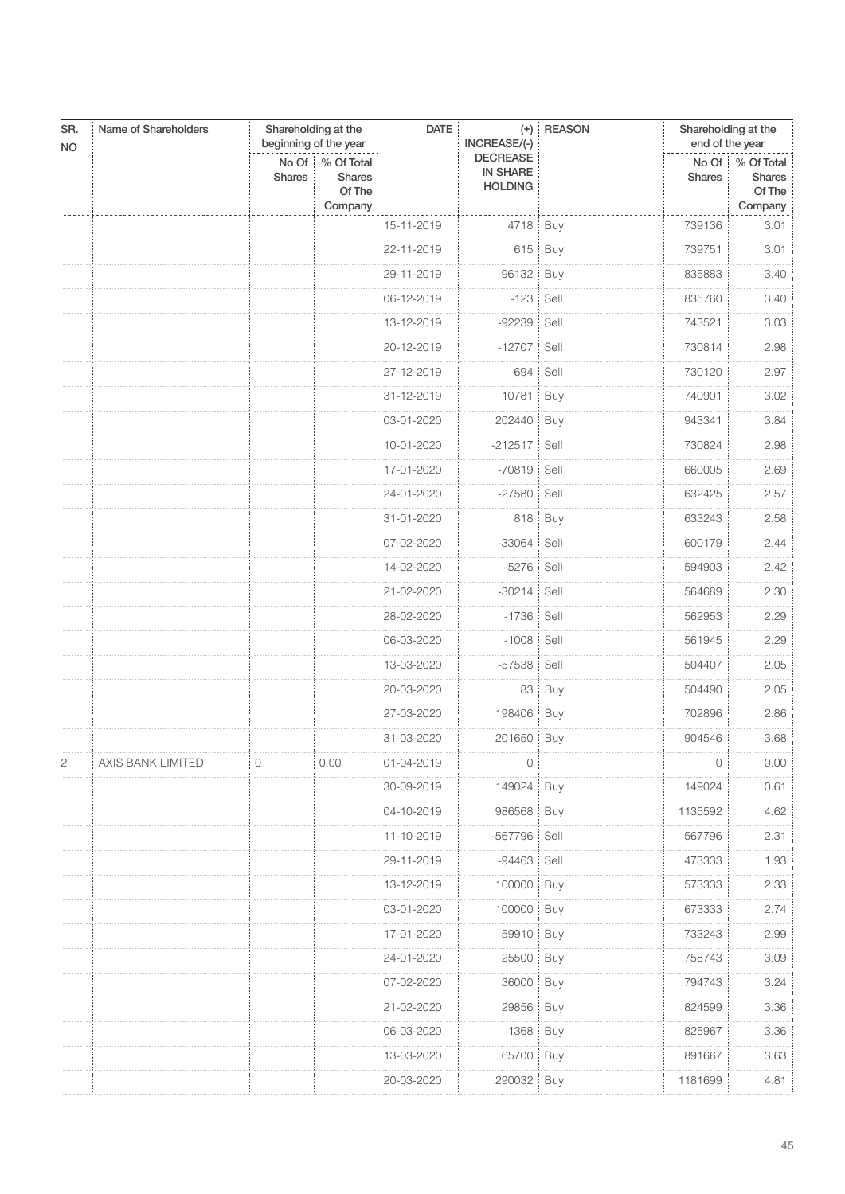| SR.            | Name of Shareholders |                        | Shareholding at the<br>beginning of the year     |            | <b>DATE</b><br>INCREASE/(-)                          | $(+)$ REASON | Shareholding at the<br>end of the year |                                                 |  |
|----------------|----------------------|------------------------|--------------------------------------------------|------------|------------------------------------------------------|--------------|----------------------------------------|-------------------------------------------------|--|
| <b>NO</b>      |                      | No Of<br><b>Shares</b> | % Of Total<br><b>Shares</b><br>Of The<br>Company |            | <b>DECREASE</b><br><b>IN SHARE</b><br><b>HOLDING</b> |              | <b>Shares</b>                          | No Of % Of Total<br>Shares<br>Of The<br>Company |  |
|                |                      |                        |                                                  | 15-11-2019 | 4718   Buy                                           |              | 739136                                 | 3.01                                            |  |
|                |                      |                        |                                                  | 22-11-2019 |                                                      | 615   Buy    | 739751                                 | 3.01                                            |  |
|                |                      |                        |                                                  | 29-11-2019 | 96132                                                | Buy          | 835883                                 | 3.40                                            |  |
|                |                      |                        |                                                  | 06-12-2019 | $-123$                                               | Sell         | 835760                                 | 3.40                                            |  |
|                |                      |                        |                                                  | 13-12-2019 | $-92239$                                             | Sell         | 743521                                 | 3.03                                            |  |
|                |                      |                        |                                                  | 20-12-2019 | $-12707$                                             | Sell         | 730814                                 | 2.98                                            |  |
|                |                      |                        |                                                  | 27-12-2019 | $-694$                                               | Sell         | 730120                                 | 2.97                                            |  |
|                |                      |                        |                                                  | 31-12-2019 | 10781                                                | Buy          | 740901                                 | 3.02                                            |  |
|                |                      |                        |                                                  | 03-01-2020 | 202440                                               | Buy          | 943341                                 | 3.84                                            |  |
|                |                      |                        |                                                  | 10-01-2020 | $-212517$                                            | Sell         | 730824                                 | 2.98                                            |  |
|                |                      |                        |                                                  | 17-01-2020 | $-70819$                                             | Sell         | 660005                                 | 2.69                                            |  |
|                |                      |                        |                                                  | 24-01-2020 | $-27580$                                             | Sell         | 632425                                 | 2.57                                            |  |
|                |                      |                        |                                                  | 31-01-2020 | 818                                                  | Buy          | 633243                                 | 2.58                                            |  |
|                |                      |                        |                                                  | 07-02-2020 | $-33064$                                             | Sell         | 600179                                 | 2.44                                            |  |
|                |                      |                        |                                                  | 14-02-2020 | $-5276$                                              | Sell         | 594903                                 | 2.42                                            |  |
|                |                      |                        |                                                  | 21-02-2020 | $-30214$                                             | Sell         | 564689                                 | 2.30                                            |  |
|                |                      |                        |                                                  | 28-02-2020 | $-1736$                                              | Sell         | 562953                                 | 2.29                                            |  |
|                |                      |                        |                                                  | 06-03-2020 | $-1008$                                              | Sell         | 561945                                 | 2.29                                            |  |
|                |                      |                        |                                                  | 13-03-2020 | $-57538$                                             | Sell         | 504407                                 | 2.05                                            |  |
|                |                      |                        |                                                  | 20-03-2020 | 83                                                   | Buy          | 504490                                 | 2.05                                            |  |
|                |                      |                        |                                                  | 27-03-2020 | 198406                                               | Buy          | 702896                                 | 2.86                                            |  |
|                |                      |                        |                                                  | 31-03-2020 | 201650   Buy                                         |              | 904546                                 | 3.68                                            |  |
| $\overline{2}$ | AXIS BANK LIMITED    | 0                      | 0.00                                             | 01-04-2019 | $\mathbf{0}$                                         |              | $\mathbf 0$                            | 0.00                                            |  |
|                |                      |                        |                                                  | 30-09-2019 | 149024                                               | Buy          | 149024                                 | 0.61                                            |  |
|                |                      |                        |                                                  | 04-10-2019 | 986568                                               | Buy          | 1135592                                | 4.62                                            |  |
|                |                      |                        |                                                  | 11-10-2019 | -567796   Sell                                       |              | 567796                                 | 2.31                                            |  |
|                |                      |                        |                                                  | 29-11-2019 | $-94463$                                             | Sell         | 473333                                 | 1.93                                            |  |
|                |                      |                        |                                                  | 13-12-2019 | 100000                                               | Buy          | 573333                                 | 2.33                                            |  |
|                |                      |                        |                                                  | 03-01-2020 | 100000                                               | Buy          | 673333                                 | 2.74                                            |  |
|                |                      |                        |                                                  | 17-01-2020 | 59910   Buy                                          |              | 733243                                 | 2.99                                            |  |
|                |                      |                        |                                                  | 24-01-2020 | 25500                                                | Buy          | 758743                                 | 3.09                                            |  |
|                |                      |                        |                                                  | 07-02-2020 | 36000                                                | Buy          | 794743                                 | 3.24                                            |  |
|                |                      |                        |                                                  | 21-02-2020 | 29856                                                | Buy          | 824599                                 | 3.36                                            |  |
|                |                      |                        |                                                  | 06-03-2020 | 1368                                                 | Buy          | 825967                                 | $3.36\,$                                        |  |
|                |                      |                        |                                                  | 13-03-2020 | 65700                                                | Buy          | 891667                                 | 3.63                                            |  |
|                |                      |                        |                                                  | 20-03-2020 | 290032                                               | Buy          | 1181699                                | 4.81                                            |  |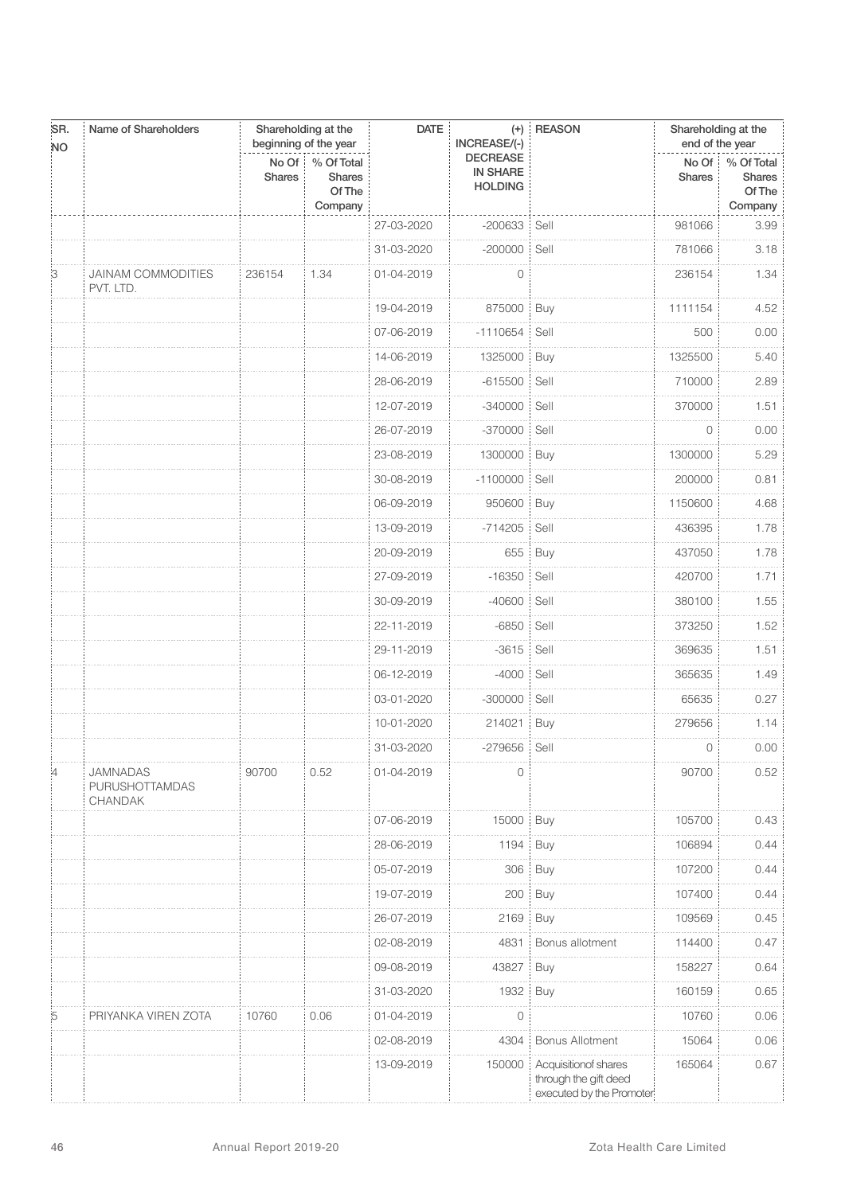| SR.<br><b>NO</b> | Name of Shareholders                         |                        | Shareholding at the<br>beginning of the year     | <b>DATE</b> | INCREASE/(-)                                         | (+) REASON                                                                | Shareholding at the<br>end of the year |                                                 |
|------------------|----------------------------------------------|------------------------|--------------------------------------------------|-------------|------------------------------------------------------|---------------------------------------------------------------------------|----------------------------------------|-------------------------------------------------|
|                  |                                              | No Of<br><b>Shares</b> | % Of Total<br><b>Shares</b><br>Of The<br>Company |             | <b>DECREASE</b><br><b>IN SHARE</b><br><b>HOLDING</b> |                                                                           | <b>Shares</b>                          | No Of % Of Total<br>Shares<br>Of The<br>Company |
|                  |                                              |                        |                                                  | 27-03-2020  | $-200633$                                            | Sell                                                                      | 981066                                 | 3.99                                            |
|                  |                                              |                        |                                                  | 31-03-2020  | -200000 Sell                                         |                                                                           | 781066                                 | 3.18                                            |
| 3                | <b>JAINAM COMMODITIES</b><br>PVT. LTD.       | 236154                 | 1.34                                             | 01-04-2019  | 0                                                    |                                                                           | 236154                                 | 1.34                                            |
|                  |                                              |                        |                                                  | 19-04-2019  | 875000                                               | Buy                                                                       | 1111154                                | 4.52                                            |
|                  |                                              |                        |                                                  | 07-06-2019  | $-1110654$                                           | Sell                                                                      | 500                                    | 0.00                                            |
|                  |                                              |                        |                                                  | 14-06-2019  | 1325000                                              | : Buy                                                                     | 1325500                                | 5.40                                            |
|                  |                                              |                        |                                                  | 28-06-2019  | $-615500$                                            | Sell<br>÷                                                                 | 710000                                 | 2.89                                            |
|                  |                                              |                        |                                                  | 12-07-2019  | $-340000$                                            | Sell                                                                      | 370000                                 | 1.51                                            |
|                  |                                              |                        |                                                  | 26-07-2019  | $-370000$                                            | Sell                                                                      | 0                                      | 0.00                                            |
|                  |                                              |                        |                                                  | 23-08-2019  | 1300000                                              | Buy                                                                       | 1300000                                | 5.29                                            |
|                  |                                              |                        |                                                  | 30-08-2019  | $-1100000$                                           | Sell                                                                      | 200000                                 | 0.81                                            |
|                  |                                              |                        |                                                  | 06-09-2019  | 950600                                               | Buy                                                                       | 1150600                                | 4.68                                            |
|                  |                                              |                        |                                                  | 13-09-2019  | $-714205$                                            | Sell                                                                      | 436395                                 | 1.78                                            |
|                  |                                              |                        |                                                  | 20-09-2019  |                                                      | 655 Buy                                                                   | 437050                                 | 1.78                                            |
|                  |                                              |                        |                                                  | 27-09-2019  | $-16350$                                             | Sell                                                                      | 420700                                 | 1.71                                            |
|                  |                                              |                        |                                                  | 30-09-2019  | $-40600$                                             | Sell                                                                      | 380100                                 | 1.55                                            |
|                  |                                              |                        |                                                  | 22-11-2019  | $-6850$                                              | Sell                                                                      | 373250                                 | 1.52                                            |
|                  |                                              |                        |                                                  | 29-11-2019  | $-3615$                                              | Sell                                                                      | 369635                                 | 1.51                                            |
|                  |                                              |                        |                                                  | 06-12-2019  | $-4000$                                              | Sell                                                                      | 365635                                 | 1.49                                            |
|                  |                                              |                        |                                                  | 03-01-2020  | $-300000$                                            | Sell                                                                      | 65635                                  | 0.27                                            |
|                  |                                              |                        |                                                  | 10-01-2020  | 214021                                               | Buy                                                                       | 279656                                 | 1.14                                            |
|                  |                                              |                        |                                                  | 31-03-2020  | -279656 Sell                                         |                                                                           | $\circ$                                | 0.00                                            |
| :4               | <b>JAMNADAS</b><br>PURUSHOTTAMDAS<br>CHANDAK | 90700                  | 0.52                                             | 01-04-2019  | 0                                                    |                                                                           | 90700                                  | 0.52                                            |
|                  |                                              |                        |                                                  | 07-06-2019  | 15000 Buy                                            |                                                                           | 105700                                 | 0.43                                            |
|                  |                                              |                        |                                                  | 28-06-2019  | 1194                                                 | Buy                                                                       | 106894                                 | 0.44                                            |
|                  |                                              |                        |                                                  | 05-07-2019  | 306                                                  | Buy                                                                       | 107200                                 | 0.44                                            |
|                  |                                              |                        |                                                  | 19-07-2019  | 200                                                  | Buy                                                                       | 107400                                 | 0.44                                            |
|                  |                                              |                        |                                                  | 26-07-2019  | 2169                                                 | Buy                                                                       | 109569                                 | 0.45                                            |
|                  |                                              |                        |                                                  | 02-08-2019  | 4831                                                 | Bonus allotment                                                           | 114400                                 | 0.47                                            |
|                  |                                              |                        |                                                  | 09-08-2019  | 43827                                                | <b>Buy</b>                                                                | 158227                                 | 0.64                                            |
|                  |                                              |                        |                                                  | 31-03-2020  | 1932                                                 | Buy                                                                       | 160159                                 | 0.65                                            |
| :5               | PRIYANKA VIREN ZOTA                          | 10760                  | 0.06                                             | 01-04-2019  | 0                                                    |                                                                           | 10760                                  | 0.06                                            |
|                  |                                              |                        |                                                  | 02-08-2019  | 4304                                                 | <b>Bonus Allotment</b>                                                    | 15064                                  | 0.06                                            |
|                  |                                              |                        |                                                  | 13-09-2019  | 150000                                               | Acquisitionof shares<br>through the gift deed<br>executed by the Promoter | 165064                                 | 0.67                                            |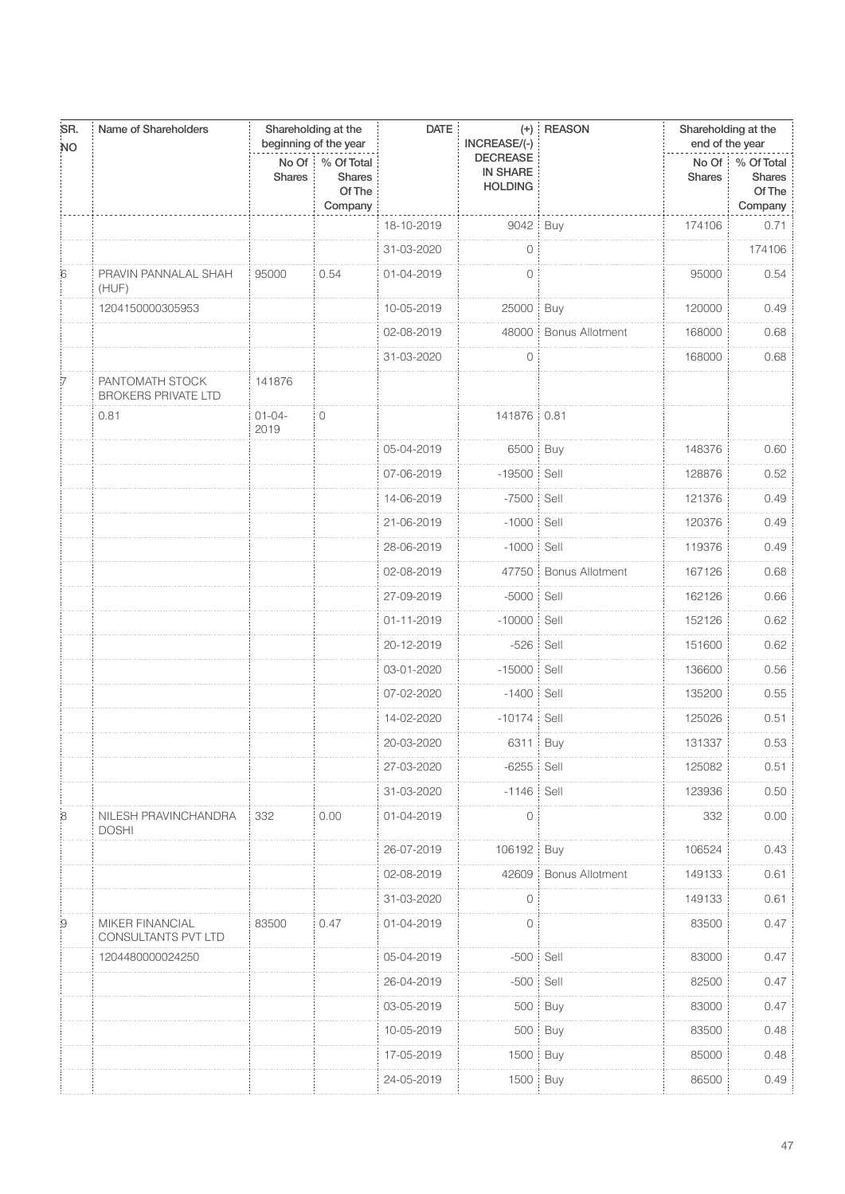| SR.<br><b>NO</b> | Name of Shareholders                          | beginning of the year  | Shareholding at the                              | <b>DATE</b> | INCREASE/(-)                                         | $(+)$ REASON           | Shareholding at the<br>end of the year |                                                        |
|------------------|-----------------------------------------------|------------------------|--------------------------------------------------|-------------|------------------------------------------------------|------------------------|----------------------------------------|--------------------------------------------------------|
|                  |                                               | No Of<br><b>Shares</b> | % Of Total<br><b>Shares</b><br>Of The<br>Company |             | <b>DECREASE</b><br><b>IN SHARE</b><br><b>HOLDING</b> |                        | <b>Shares</b>                          | No Of % Of Total<br><b>Shares</b><br>Of The<br>Company |
|                  |                                               |                        |                                                  | 18-10-2019  | 9042                                                 | Buy                    | 174106                                 | 0.71                                                   |
|                  |                                               |                        |                                                  | 31-03-2020  | $\circ$                                              |                        |                                        | 174106                                                 |
| 6                | PRAVIN PANNALAL SHAH<br>(HUF)                 | 95000                  | 0.54                                             | 01-04-2019  | $\circ$                                              |                        | 95000                                  | 0.54                                                   |
|                  | 1204150000305953                              |                        |                                                  | 10-05-2019  | 25000 Buy                                            |                        | 120000                                 | 0.49                                                   |
|                  |                                               |                        |                                                  | 02-08-2019  | 48000                                                | <b>Bonus Allotment</b> | 168000                                 | 0.68                                                   |
|                  |                                               |                        |                                                  | 31-03-2020  | 0                                                    |                        | 168000                                 | 0.68                                                   |
|                  | PANTOMATH STOCK<br><b>BROKERS PRIVATE LTD</b> | 141876                 |                                                  |             |                                                      |                        |                                        |                                                        |
|                  | 0.81                                          | $01 - 04 -$<br>2019    | $\overline{O}$                                   |             | 141876 0.81                                          |                        |                                        |                                                        |
|                  |                                               |                        |                                                  | 05-04-2019  | 6500 Buy                                             |                        | 148376                                 | 0.60                                                   |
|                  |                                               |                        |                                                  | 07-06-2019  | $-19500$                                             | Sell                   | 128876                                 | 0.52                                                   |
|                  |                                               |                        |                                                  | 14-06-2019  | $-7500:$                                             | Sell                   | 121376                                 | 0.49                                                   |
|                  |                                               |                        |                                                  | 21-06-2019  | $-1000$                                              | Sell                   | 120376                                 | 0.49                                                   |
|                  |                                               |                        |                                                  | 28-06-2019  | $-1000$                                              | Sell                   | 119376                                 | 0.49                                                   |
|                  |                                               |                        |                                                  | 02-08-2019  | 47750                                                | <b>Bonus Allotment</b> | 167126                                 | 0.68                                                   |
|                  |                                               |                        |                                                  | 27-09-2019  | $-5000$                                              | Sell                   | 162126                                 | 0.66                                                   |
|                  |                                               |                        |                                                  | 01-11-2019  | $-10000$                                             | Sell                   | 152126                                 | 0.62                                                   |
|                  |                                               |                        |                                                  | 20-12-2019  | $-526$                                               | Sell                   | 151600                                 | 0.62                                                   |
|                  |                                               |                        |                                                  | 03-01-2020  | $-15000$                                             | Sell                   | 136600                                 | 0.56                                                   |
|                  |                                               |                        |                                                  | 07-02-2020  | $-1400$                                              | Sell                   | 135200                                 | 0.55                                                   |
|                  |                                               |                        |                                                  | 14-02-2020  | $-10174$                                             | Sell                   | 125026                                 | 0.51                                                   |
|                  |                                               |                        |                                                  | 20-03-2020  | 6311                                                 | Buy                    | 131337                                 | 0.53                                                   |
|                  |                                               |                        |                                                  | 27-03-2020  | $-6255$ Sell                                         |                        | 125082                                 | 0.51                                                   |
|                  |                                               |                        |                                                  | 31-03-2020  | $-1146$                                              | Sell                   | 123936                                 | 0.50                                                   |
| $\mathcal{B}$    | NILESH PRAVINCHANDRA<br><b>DOSHI</b>          | 332                    | 0.00                                             | 01-04-2019  | 0                                                    |                        | 332                                    | 0.00                                                   |
|                  |                                               |                        |                                                  | 26-07-2019  | 106192                                               | Buy                    | 106524                                 | 0.43                                                   |
|                  |                                               |                        |                                                  | 02-08-2019  | 42609                                                | <b>Bonus Allotment</b> | 149133                                 | 0.61                                                   |
|                  |                                               |                        |                                                  | 31-03-2020  | $\mathbf 0$                                          |                        | 149133                                 | 0.61                                                   |
| 9                | MIKER FINANCIAL<br>CONSULTANTS PVT LTD        | 83500                  | 0.47                                             | 01-04-2019  | $\circ$                                              |                        | 83500                                  | 0.47                                                   |
|                  | 1204480000024250                              |                        |                                                  | 05-04-2019  | $-500$ Sell                                          |                        | 83000                                  | 0.47                                                   |
|                  |                                               |                        |                                                  | 26-04-2019  | $-500$                                               | Sell                   | 82500                                  | 0.47                                                   |
|                  |                                               |                        |                                                  | 03-05-2019  |                                                      | 500 Buy                | 83000                                  | 0.47                                                   |
|                  |                                               |                        |                                                  | 10-05-2019  | 500:                                                 | Buy                    | 83500                                  | 0.48                                                   |
|                  |                                               |                        |                                                  | 17-05-2019  | 1500                                                 | Buy                    | 85000                                  | 0.48                                                   |
|                  |                                               |                        |                                                  | 24-05-2019  | 1500                                                 | Buy                    | 86500                                  | 0.49                                                   |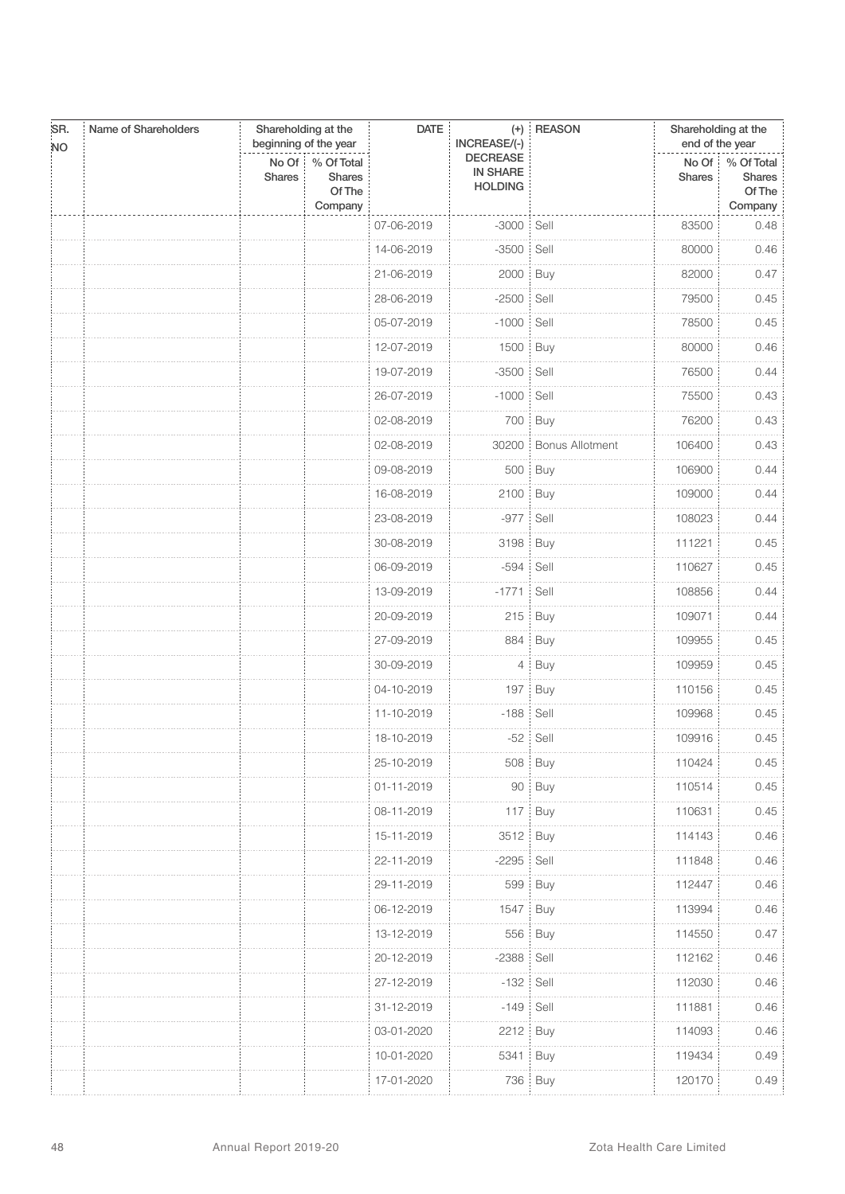| SR.<br><b>NO</b> | Name of Shareholders<br><b>DATE</b><br>$(+)$ REASON<br>Shareholding at the<br>beginning of the year<br>INCREASE/(-) |                        |                                           | Shareholding at the<br>end of the year |                                                      |                        |               |                                                   |
|------------------|---------------------------------------------------------------------------------------------------------------------|------------------------|-------------------------------------------|----------------------------------------|------------------------------------------------------|------------------------|---------------|---------------------------------------------------|
|                  |                                                                                                                     | No Of<br><b>Shares</b> | % Of Total<br>Shares<br>Of The<br>Company |                                        | <b>DECREASE</b><br><b>IN SHARE</b><br><b>HOLDING</b> |                        | <b>Shares</b> | No Of   % Of Total<br>Shares<br>Of The<br>Company |
|                  |                                                                                                                     |                        |                                           | 07-06-2019                             | $-3000$ Sell                                         |                        | 83500         | 0.48                                              |
|                  |                                                                                                                     |                        |                                           | 14-06-2019                             | -3500 Sell                                           |                        | 80000         | 0.46                                              |
|                  |                                                                                                                     |                        |                                           | 21-06-2019                             | 2000                                                 | <b>Buy</b>             | 82000         | 0.47                                              |
|                  |                                                                                                                     |                        |                                           | 28-06-2019                             | $-2500:$                                             | Sell                   | 79500         | 0.45                                              |
|                  |                                                                                                                     |                        |                                           | 05-07-2019                             | $-1000$                                              | Sell                   | 78500         | 0.45                                              |
|                  |                                                                                                                     |                        |                                           | 12-07-2019                             | 1500 Buy                                             |                        | 80000         | 0.46                                              |
|                  |                                                                                                                     |                        |                                           | 19-07-2019                             | $-3500$                                              | Sell                   | 76500         | 0.44                                              |
|                  |                                                                                                                     |                        |                                           | 26-07-2019                             | $-1000$                                              | Sell                   | 75500         | 0.43                                              |
|                  |                                                                                                                     |                        |                                           | 02-08-2019                             |                                                      | 700 Buy                | 76200         | 0.43                                              |
|                  |                                                                                                                     |                        |                                           | 02-08-2019                             | 30200                                                | <b>Bonus Allotment</b> | 106400        | 0.43                                              |
|                  |                                                                                                                     |                        |                                           | 09-08-2019                             |                                                      | 500 Buy                | 106900        | 0.44                                              |
|                  |                                                                                                                     |                        |                                           | 16-08-2019                             | 2100                                                 | Buy                    | 109000        | 0.44                                              |
|                  |                                                                                                                     |                        |                                           | 23-08-2019                             | $-977$                                               | Sell                   | 108023        | 0.44                                              |
|                  |                                                                                                                     |                        |                                           | 30-08-2019                             | 3198   Buy                                           |                        | 111221        | 0.45                                              |
|                  |                                                                                                                     |                        |                                           | 06-09-2019                             | -594                                                 | Sell                   | 110627        | 0.45                                              |
|                  |                                                                                                                     |                        |                                           | 13-09-2019                             | $-1771$                                              | Sell                   | 108856        | 0.44                                              |
|                  |                                                                                                                     |                        |                                           | 20-09-2019                             | 215                                                  | Buy                    | 109071        | 0.44                                              |
|                  |                                                                                                                     |                        |                                           | 27-09-2019                             | 884                                                  | Buy                    | 109955        | 0.45                                              |
|                  |                                                                                                                     |                        |                                           | 30-09-2019                             | 4:                                                   | Buy                    | 109959        | 0.45                                              |
|                  |                                                                                                                     |                        |                                           | 04-10-2019                             | 197                                                  | Buy                    | 110156        | 0.45                                              |
|                  |                                                                                                                     |                        |                                           | 11-10-2019                             | $-188$ Sell                                          |                        | 109968        | 0.45                                              |
|                  |                                                                                                                     |                        |                                           | 18-10-2019                             |                                                      | -52 Sell               | 109916        | 0.45                                              |
|                  |                                                                                                                     |                        |                                           | 25-10-2019                             |                                                      | 508 Buy                | 110424        | 0.45                                              |
|                  |                                                                                                                     |                        |                                           | 01-11-2019                             |                                                      | 90 Buy                 | 110514        | 0.45                                              |
|                  |                                                                                                                     |                        |                                           | 08-11-2019                             | 117                                                  | Buy                    | 110631        | 0.45                                              |
|                  |                                                                                                                     |                        |                                           | 15-11-2019                             | 3512 Buy                                             |                        | 114143        | 0.46                                              |
|                  |                                                                                                                     |                        |                                           | 22-11-2019                             | $-2295$                                              | Sell                   | 111848        | 0.46                                              |
|                  |                                                                                                                     |                        |                                           | 29-11-2019                             |                                                      | 599 Buy                | 112447        | 0.46                                              |
|                  |                                                                                                                     |                        |                                           | 06-12-2019                             | 1547                                                 | Buy                    | 113994        | 0.46                                              |
|                  |                                                                                                                     |                        |                                           | 13-12-2019                             |                                                      | 556 Buy                | 114550        | 0.47                                              |
|                  |                                                                                                                     |                        |                                           | 20-12-2019                             | $-2388$                                              | Sell                   | 112162        | 0.46                                              |
|                  |                                                                                                                     |                        |                                           | 27-12-2019                             | $-132$                                               | Sell                   | 112030        | 0.46                                              |
|                  |                                                                                                                     |                        |                                           | 31-12-2019                             | $-149$ Sell                                          |                        | 111881        | 0.46                                              |
|                  |                                                                                                                     |                        |                                           | 03-01-2020                             | 2212                                                 | Buy                    | 114093        | 0.46                                              |
|                  |                                                                                                                     |                        |                                           | 10-01-2020                             | 5341                                                 | <b>Buy</b>             | 119434        | 0.49                                              |
|                  |                                                                                                                     |                        |                                           | 17-01-2020                             |                                                      | 736 Buy                | 120170        | 0.49                                              |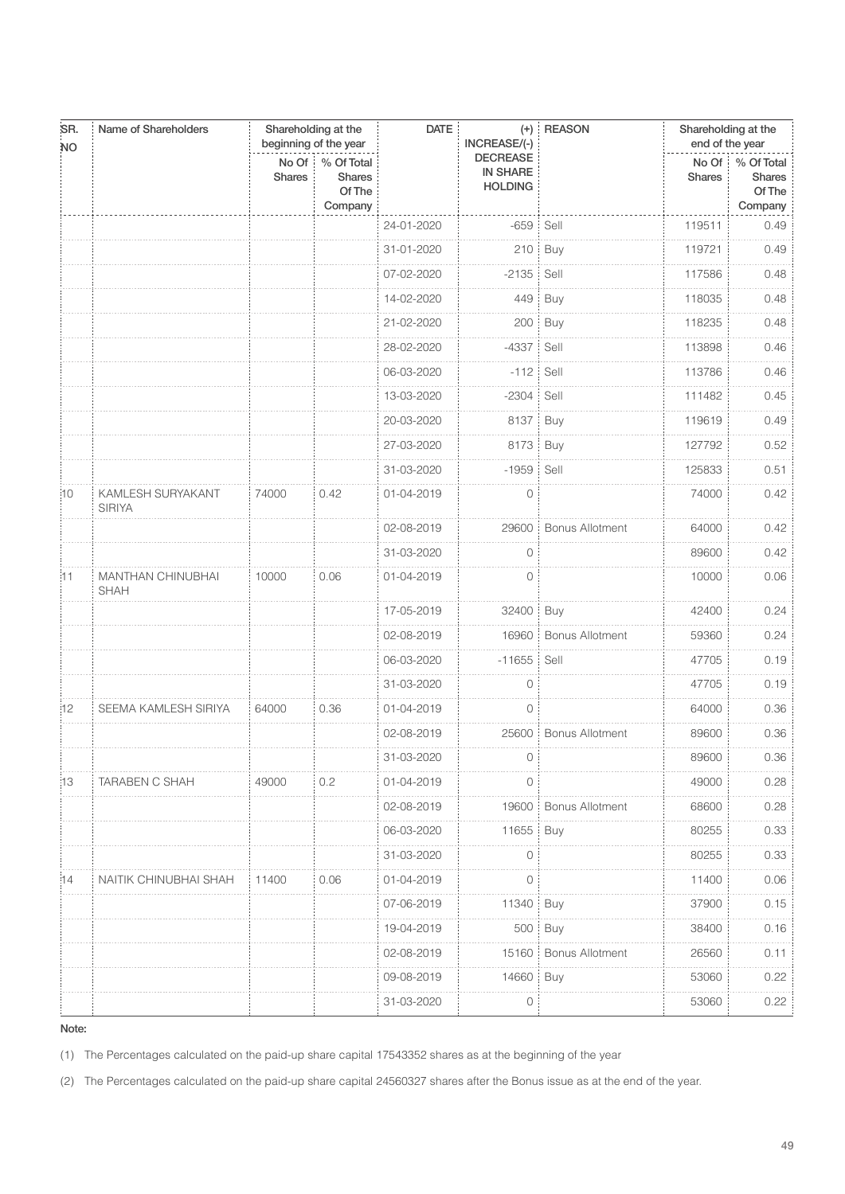| SR.<br><b>NO</b> | Name of Shareholders               |                 | Shareholding at the<br>beginning of the year     | <b>DATE</b> | INCREASE/(-)                                         | $(+)$ REASON           | Shareholding at the<br>end of the year |                                           |
|------------------|------------------------------------|-----------------|--------------------------------------------------|-------------|------------------------------------------------------|------------------------|----------------------------------------|-------------------------------------------|
|                  |                                    | No Of<br>Shares | % Of Total<br><b>Shares</b><br>Of The<br>Company |             | <b>DECREASE</b><br><b>IN SHARE</b><br><b>HOLDING</b> |                        | No Of<br><b>Shares</b>                 | % Of Total<br>Shares<br>Of The<br>Company |
|                  |                                    |                 |                                                  | 24-01-2020  | $-659$                                               | Sell                   | 119511                                 | 0.49                                      |
|                  |                                    |                 |                                                  | 31-01-2020  | 210:                                                 | Buy                    | 119721                                 | 0.49                                      |
|                  |                                    |                 |                                                  | 07-02-2020  | $-2135$                                              | Sell                   | 117586                                 | 0.48                                      |
|                  |                                    |                 |                                                  | 14-02-2020  | 449                                                  | Buy                    | 118035                                 | 0.48                                      |
|                  |                                    |                 |                                                  | 21-02-2020  | 200                                                  | Buy                    | 118235                                 | 0.48                                      |
|                  |                                    |                 |                                                  | 28-02-2020  | $-4337$                                              | Sell                   | 113898                                 | 0.46                                      |
|                  |                                    |                 |                                                  | 06-03-2020  | $-112$                                               | Sell                   | 113786                                 | 0.46                                      |
|                  |                                    |                 |                                                  | 13-03-2020  | $-2304$                                              | Sell                   | 111482                                 | 0.45                                      |
|                  |                                    |                 |                                                  | 20-03-2020  | 8137                                                 | Buy                    | 119619                                 | 0.49                                      |
|                  |                                    |                 |                                                  | 27-03-2020  | 8173                                                 | Buy                    | 127792                                 | 0.52                                      |
|                  |                                    |                 |                                                  | 31-03-2020  | $-1959$                                              | Sell                   | 125833                                 | 0.51                                      |
| ĦО.              | KAMLESH SURYAKANT<br><b>SIRIYA</b> | 74000           | 0.42                                             | 01-04-2019  | $\mathbf{0}$                                         |                        | 74000                                  | 0.42                                      |
|                  |                                    |                 |                                                  | 02-08-2019  | 29600                                                | <b>Bonus Allotment</b> | 64000                                  | 0.42                                      |
|                  |                                    |                 |                                                  | 31-03-2020  | $\circ$                                              |                        | 89600                                  | 0.42                                      |
| i11              | MANTHAN CHINUBHAI<br><b>SHAH</b>   | 10000           | 0.06                                             | 01-04-2019  | 0                                                    |                        | 10000                                  | 0.06                                      |
|                  |                                    |                 |                                                  | 17-05-2019  | 32400                                                | Buy                    | 42400                                  | 0.24                                      |
|                  |                                    |                 |                                                  | 02-08-2019  | 16960:                                               | <b>Bonus Allotment</b> | 59360                                  | 0.24                                      |
|                  |                                    |                 |                                                  | 06-03-2020  | $-11655$                                             | Sell                   | 47705                                  | 0.19                                      |
|                  |                                    |                 |                                                  | 31-03-2020  | $\mathbf{0}$                                         |                        | 47705                                  | 0.19                                      |
| 12               | SEEMA KAMLESH SIRIYA               | 64000           | 0.36                                             | 01-04-2019  | $\circ$                                              |                        | 64000                                  | 0.36                                      |
|                  |                                    |                 |                                                  | 02-08-2019  | 25600                                                | <b>Bonus Allotment</b> | 89600                                  | 0.36                                      |
|                  |                                    |                 |                                                  | 31-03-2020  | 0                                                    |                        | 89600                                  | 0.36                                      |
| i13              | <b>TARABEN C SHAH</b>              | 49000           | 0.2                                              | 01-04-2019  | 0                                                    |                        | 49000                                  | 0.28                                      |
|                  |                                    |                 |                                                  | 02-08-2019  | 19600                                                | <b>Bonus Allotment</b> | 68600                                  | 0.28                                      |
|                  |                                    |                 |                                                  | 06-03-2020  | 11655                                                | Buy                    | 80255                                  | 0.33                                      |
|                  |                                    |                 |                                                  | 31-03-2020  | $\mathbf 0$                                          |                        | 80255                                  | 0.33                                      |
| :14              | NAITIK CHINUBHAI SHAH              | 11400           | 0.06                                             | 01-04-2019  | $\mathbf 0$                                          |                        | 11400                                  | 0.06                                      |
|                  |                                    |                 |                                                  | 07-06-2019  | 11340                                                | Buy                    | 37900                                  | 0.15                                      |
|                  |                                    |                 |                                                  | 19-04-2019  | 500:                                                 | Buy                    | 38400                                  | 0.16                                      |
|                  |                                    |                 |                                                  | 02-08-2019  | 15160;                                               | <b>Bonus Allotment</b> | 26560                                  | 0.11                                      |
|                  |                                    |                 |                                                  | 09-08-2019  | 14660                                                | Buy                    | 53060                                  | 0.22                                      |
|                  |                                    |                 |                                                  | 31-03-2020  | $\circ$                                              |                        | 53060                                  | 0.22                                      |

(1) The Percentages calculated on the paid-up share capital 17543352 shares as at the beginning of the year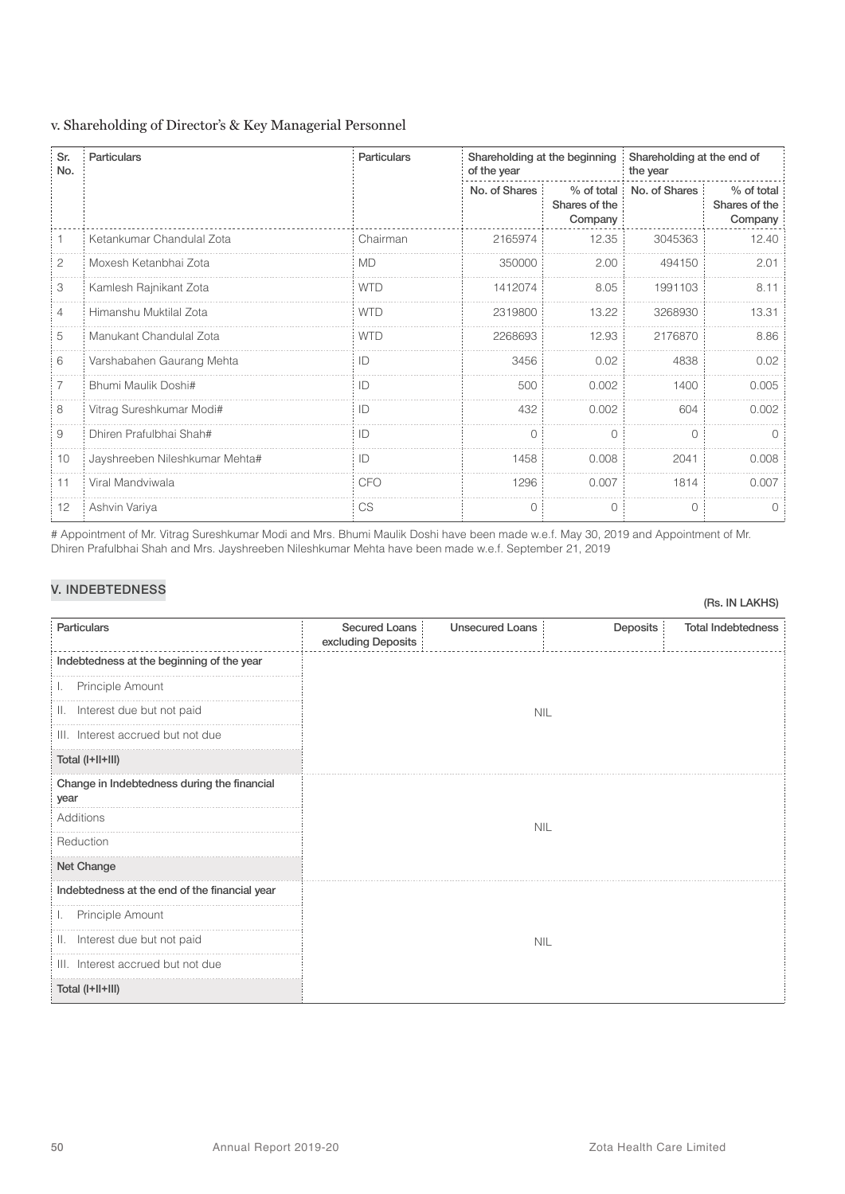#### v. Shareholding of Director's & Key Managerial Personnel

| Sr.<br>No. | <b>Particulars</b>             | <b>Particulars</b> | Shareholding at the beginning<br>of the year |                                        | Shareholding at the end of<br>the year |                                        |  |
|------------|--------------------------------|--------------------|----------------------------------------------|----------------------------------------|----------------------------------------|----------------------------------------|--|
|            |                                |                    | No. of Shares                                | % of total<br>Shares of the<br>Company | No. of Shares                          | % of total<br>Shares of the<br>Company |  |
|            | Ketankumar Chandulal Zota      | Chairman           | 2165974                                      | 12.35                                  | 3045363                                | 12.40                                  |  |
| 2          | Moxesh Ketanbhai Zota          | <b>MD</b>          | 350000                                       | 2.00                                   | 494150                                 | 2.01                                   |  |
| 3          | Kamlesh Rajnikant Zota         | <b>WTD</b>         | 1412074                                      | 8.05                                   | 1991103                                | 8.11                                   |  |
| 4          | Himanshu Muktilal Zota         | <b>WTD</b>         | 2319800                                      | 13.22                                  | 3268930                                | 13.31                                  |  |
| 5          | Manukant Chandulal Zota        | <b>WTD</b>         | 2268693                                      | 12.93                                  | 2176870                                | 8.86                                   |  |
| 6          | Varshabahen Gaurang Mehta      | ID                 | 3456                                         | 0.02                                   | 4838                                   | 0.02                                   |  |
| 7          | Bhumi Maulik Doshi#            | ID                 | 500                                          | 0.002                                  | 1400                                   | 0.005                                  |  |
| 8          | Vitrag Sureshkumar Modi#       | ID                 | 432                                          | 0.002                                  | 604                                    | 0.002                                  |  |
| 9          | Dhiren Prafulbhai Shah#        | ID                 | $\Omega$                                     | $\bigcirc$                             | $\bigcap$                              | $\Omega$                               |  |
| 10         | Jayshreeben Nileshkumar Mehta# | ID                 | 1458                                         | 0.008                                  | 2041                                   | 0.008                                  |  |
| 11         | Viral Mandviwala               | <b>CFO</b>         | 1296                                         | 0.007                                  | 1814                                   | 0.007                                  |  |
| 12         | Ashvin Variya                  | CS                 | $\Omega$                                     | $\Omega$                               | $\bigcap$                              |                                        |  |

# Appointment of Mr. Vitrag Sureshkumar Modi and Mrs. Bhumi Maulik Doshi have been made w.e.f. May 30, 2019 and Appointment of Mr. Dhiren Prafulbhai Shah and Mrs. Jayshreeben Nileshkumar Mehta have been made w.e.f. September 21, 2019

### V. INDEBTEDNESS

| Particulars                                         | <b>Secured Loans</b><br>excluding Deposits | <b>Unsecured Loans</b> | Deposits | <b>Total Indebtedness</b> |  |  |  |
|-----------------------------------------------------|--------------------------------------------|------------------------|----------|---------------------------|--|--|--|
| Indebtedness at the beginning of the year           |                                            |                        |          |                           |  |  |  |
| Principle Amount<br>J.,                             |                                            |                        |          |                           |  |  |  |
| Interest due but not paid<br>II.                    | <b>NIL</b>                                 |                        |          |                           |  |  |  |
| III. Interest accrued but not due                   |                                            |                        |          |                           |  |  |  |
| Total (I+II+III)                                    |                                            |                        |          |                           |  |  |  |
| Change in Indebtedness during the financial<br>year | <b>NIL</b>                                 |                        |          |                           |  |  |  |
| Additions                                           |                                            |                        |          |                           |  |  |  |
| Reduction                                           |                                            |                        |          |                           |  |  |  |
| Net Change                                          |                                            |                        |          |                           |  |  |  |
| Indebtedness at the end of the financial year       |                                            |                        |          |                           |  |  |  |
| Principle Amount<br>Ъ.                              |                                            |                        |          |                           |  |  |  |
| Interest due but not paid<br>H.                     | <b>NIL</b>                                 |                        |          |                           |  |  |  |
| III. Interest accrued but not due                   |                                            |                        |          |                           |  |  |  |
| Total (I+II+III)                                    |                                            |                        |          |                           |  |  |  |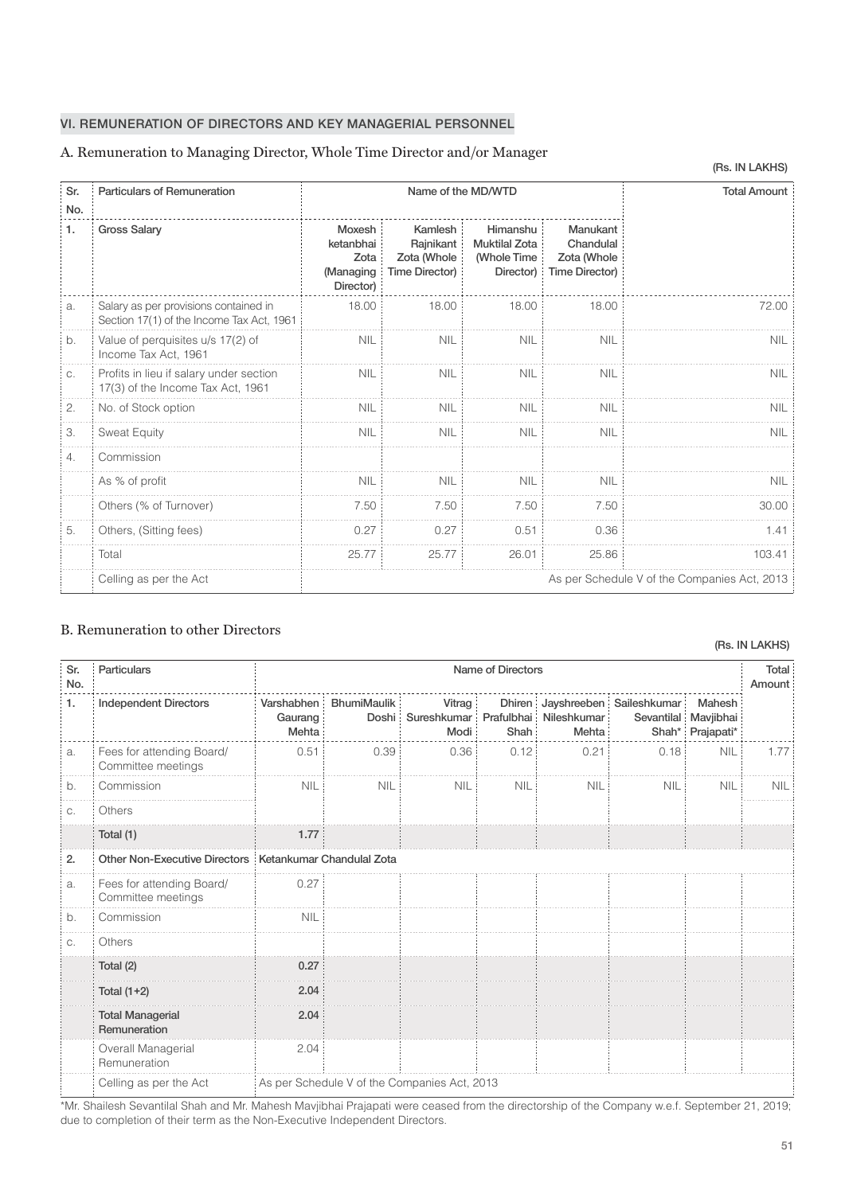#### VI. REMUNERATION OF DIRECTORS AND KEY MANAGERIAL PERSONNEL

#### A. Remuneration to Managing Director, Whole Time Director and/or Manager

| Sr.       | <b>Particulars of Remuneration</b>                                                 | Name of the MD/WTD                                    |                                                       |                                                              |                                                               | <b>Total Amount</b>                          |
|-----------|------------------------------------------------------------------------------------|-------------------------------------------------------|-------------------------------------------------------|--------------------------------------------------------------|---------------------------------------------------------------|----------------------------------------------|
| No.<br>1. | <b>Gross Salary</b>                                                                | Moxesh<br>ketanbhai<br>Zota<br>(Managing<br>Director) | Kamlesh<br>Rajnikant<br>Zota (Whole<br>Time Director) | Himanshu<br><b>Muktilal Zota</b><br>(Whole Time<br>Director) | Manukant<br>Chandulal<br>Zota (Whole<br><b>Time Director)</b> |                                              |
| a.        | Salary as per provisions contained in<br>Section 17(1) of the Income Tax Act, 1961 | 18.00                                                 | 18.00                                                 | 18.00                                                        | 18.00                                                         | 72.00                                        |
| b.        | Value of perquisites u/s 17(2) of<br>Income Tax Act, 1961                          | <b>NIL</b>                                            | <b>NIL</b>                                            | <b>NIL</b>                                                   | <b>NIL</b>                                                    | <b>NIL</b>                                   |
| C.        | Profits in lieu if salary under section<br>17(3) of the Income Tax Act, 1961       | <b>NIL</b>                                            | <b>NIL</b>                                            | <b>NIL</b>                                                   | <b>NIL</b>                                                    | <b>NIL</b>                                   |
| 2.        | No. of Stock option                                                                | <b>NIL</b>                                            | <b>NIL</b>                                            | <b>NIL</b>                                                   | <b>NIL</b>                                                    | <b>NIL</b>                                   |
| 3.        | <b>Sweat Equity</b>                                                                | <b>NIL</b>                                            | <b>NIL</b>                                            | <b>NIL</b>                                                   | <b>NIL</b>                                                    | <b>NIL</b>                                   |
| 4.        | Commission                                                                         |                                                       |                                                       |                                                              |                                                               |                                              |
|           | As % of profit                                                                     | <b>NIL</b>                                            | <b>NIL</b>                                            | <b>NIL</b>                                                   | <b>NIL</b>                                                    | <b>NIL</b>                                   |
|           | Others (% of Turnover)                                                             | 7.50                                                  | 7.50                                                  | 7.50                                                         | 7.50                                                          | 30.00                                        |
| 5.        | Others, (Sitting fees)                                                             | 0.27                                                  | 0.27                                                  | 0.51                                                         | 0.36                                                          | 1.41                                         |
|           | Total                                                                              | 25.77                                                 | 25.77                                                 | 26.01                                                        | 25.86                                                         | 103.41                                       |
|           | Celling as per the Act                                                             |                                                       |                                                       |                                                              |                                                               | As per Schedule V of the Companies Act, 2013 |

### B. Remuneration to other Directors

| Sr.<br>No. | <b>Particulars</b>                              |                                | Name of Directors<br>Amount                  |                                                            |            |            |                                 |                                                    |            |
|------------|-------------------------------------------------|--------------------------------|----------------------------------------------|------------------------------------------------------------|------------|------------|---------------------------------|----------------------------------------------------|------------|
| 1.         | <b>Independent Directors</b>                    | Varshabhen<br>Gaurang<br>Mehta | <b>BhumiMaulik</b>                           | Vitrag<br>Doshi Sureshkumar Prafulbhai Nileshkumar<br>Modi | Shah:      | Mehta:     | Dhiren Jayshreeben Saileshkumar | Mahesh<br>Sevantilal Mavjibhai<br>Shah* Prajapati* |            |
| a.         | Fees for attending Board/<br>Committee meetings | 0.51                           | 0.39                                         | 0.36:                                                      | 0.12       | 0.21       | 0.18                            | <b>NIL</b>                                         | 1.77       |
| b.         | Commission                                      | <b>NIL</b>                     | <b>NIL</b>                                   | <b>NIL</b>                                                 | <b>NIL</b> | <b>NIL</b> | <b>NIL</b>                      | <b>NIL</b>                                         | <b>NIL</b> |
| C.         | Others                                          |                                |                                              |                                                            |            |            |                                 |                                                    |            |
|            | Total (1)                                       | 1.77                           |                                              |                                                            |            |            |                                 |                                                    |            |
| 2.         | Other Non-Executive Directors                   |                                | Ketankumar Chandulal Zota                    |                                                            |            |            |                                 |                                                    |            |
| a.         | Fees for attending Board/<br>Committee meetings | 0.27                           |                                              |                                                            |            |            |                                 |                                                    |            |
| b.         | Commission                                      | <b>NIL</b>                     |                                              |                                                            |            |            |                                 |                                                    |            |
| C.         | Others                                          |                                |                                              |                                                            |            |            |                                 |                                                    |            |
|            | Total (2)                                       | 0.27                           |                                              |                                                            |            |            |                                 |                                                    |            |
|            | Total $(1+2)$                                   | 2.04                           |                                              |                                                            |            |            |                                 |                                                    |            |
|            | <b>Total Managerial</b><br>Remuneration         | 2.04                           |                                              |                                                            |            |            |                                 |                                                    |            |
|            | Overall Managerial<br>Remuneration              | 2.04                           |                                              |                                                            |            |            |                                 |                                                    |            |
|            | Celling as per the Act                          |                                | As per Schedule V of the Companies Act, 2013 |                                                            |            |            |                                 |                                                    |            |

\*Mr. Shailesh Sevantilal Shah and Mr. Mahesh Mavjibhai Prajapati were ceased from the directorship of the Company w.e.f. September 21, 2019; due to completion of their term as the Non-Executive Independent Directors.

#### (Rs. IN LAKHS)

(Rs. IN LAKHS)